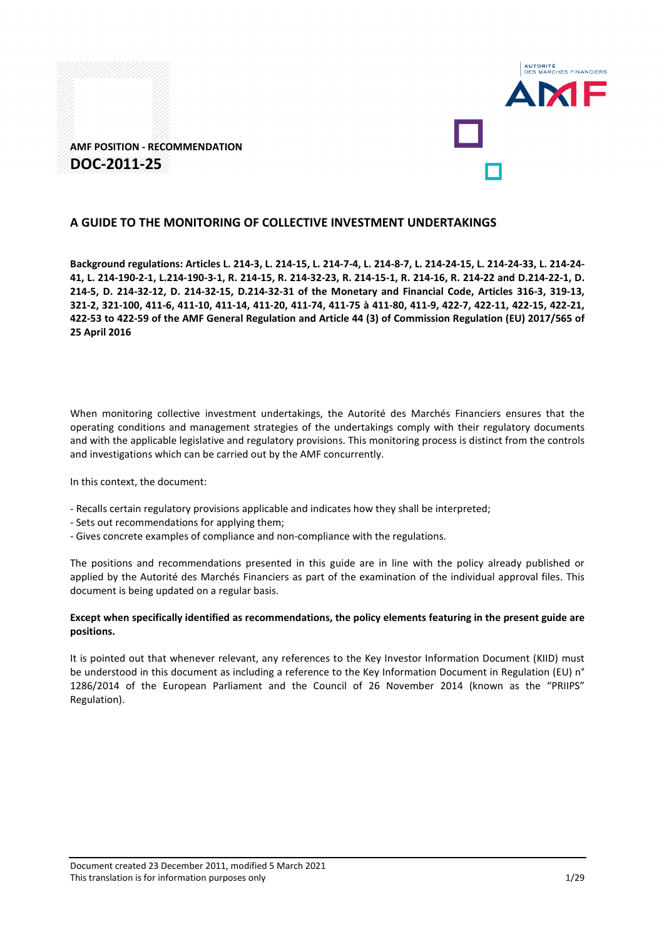



### **A GUIDE TO THE MONITORING OF COLLECTIVE INVESTMENT UNDERTAKINGS**

**Background regulations: Articles L. 214-3, L. 214-15, L. 214-7-4, L. 214-8-7, L. 214-24-15, L. 214-24-33, L. 214-24- 41, L. 214-190-2-1, L.214-190-3-1, R. 214-15, R. 214-32-23, R. 214-15-1, R. 214-16, R. 214-22 and D.214-22-1, D. 214-5, D. 214-32-12, D. 214-32-15, D.214-32-31 of the Monetary and Financial Code, Articles 316-3, 319-13, 321-2, 321-100, 411-6, 411-10, 411-14, 411-20, 411-74, 411-75 à 411-80, 411-9, 422-7, 422-11, 422-15, 422-21, 422-53 to 422-59 of the AMF General Regulation and Article 44 (3) of Commission Regulation (EU) 2017/565 of 25 April 2016**

When monitoring collective investment undertakings, the Autorité des Marchés Financiers ensures that the operating conditions and management strategies of the undertakings comply with their regulatory documents and with the applicable legislative and regulatory provisions. This monitoring process is distinct from the controls and investigations which can be carried out by the AMF concurrently.

In this context, the document:

- Recalls certain regulatory provisions applicable and indicates how they shall be interpreted;
- Sets out recommendations for applying them;
- Gives concrete examples of compliance and non-compliance with the regulations.

The positions and recommendations presented in this guide are in line with the policy already published or applied by the Autorité des Marchés Financiers as part of the examination of the individual approval files. This document is being updated on a regular basis.

#### **Except when specifically identified as recommendations, the policy elements featuring in the present guide are positions.**

It is pointed out that whenever relevant, any references to the Key Investor Information Document (KIID) must be understood in this document as including a reference to the Key Information Document in Regulation (EU) n° 1286/2014 of the European Parliament and the Council of 26 November 2014 (known as the "PRIIPS" Regulation).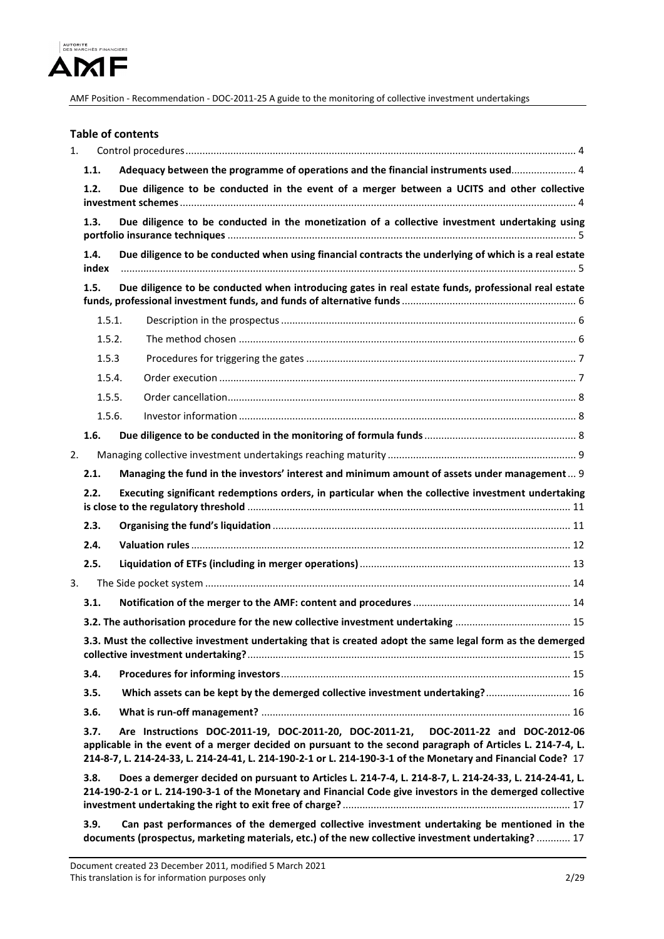

|         |                                                                                                           | <b>Table of contents</b>                                                                                                                                                                                                                                                                                          |  |  |  |
|---------|-----------------------------------------------------------------------------------------------------------|-------------------------------------------------------------------------------------------------------------------------------------------------------------------------------------------------------------------------------------------------------------------------------------------------------------------|--|--|--|
| $1_{-}$ |                                                                                                           |                                                                                                                                                                                                                                                                                                                   |  |  |  |
|         | 1.1.                                                                                                      | Adequacy between the programme of operations and the financial instruments used 4                                                                                                                                                                                                                                 |  |  |  |
|         | 1.2.                                                                                                      | Due diligence to be conducted in the event of a merger between a UCITS and other collective                                                                                                                                                                                                                       |  |  |  |
|         | 1.3.                                                                                                      | Due diligence to be conducted in the monetization of a collective investment undertaking using                                                                                                                                                                                                                    |  |  |  |
|         | 1.4.<br>index                                                                                             | Due diligence to be conducted when using financial contracts the underlying of which is a real estate                                                                                                                                                                                                             |  |  |  |
|         | 1.5.                                                                                                      | Due diligence to be conducted when introducing gates in real estate funds, professional real estate                                                                                                                                                                                                               |  |  |  |
|         | 1.5.1.                                                                                                    |                                                                                                                                                                                                                                                                                                                   |  |  |  |
|         | 1.5.2.                                                                                                    |                                                                                                                                                                                                                                                                                                                   |  |  |  |
|         | 1.5.3                                                                                                     |                                                                                                                                                                                                                                                                                                                   |  |  |  |
|         | 1.5.4.                                                                                                    |                                                                                                                                                                                                                                                                                                                   |  |  |  |
|         | 1.5.5.                                                                                                    |                                                                                                                                                                                                                                                                                                                   |  |  |  |
|         | 1.5.6.                                                                                                    |                                                                                                                                                                                                                                                                                                                   |  |  |  |
|         | 1.6.                                                                                                      |                                                                                                                                                                                                                                                                                                                   |  |  |  |
| 2.      |                                                                                                           |                                                                                                                                                                                                                                                                                                                   |  |  |  |
|         | 2.1.                                                                                                      | Managing the fund in the investors' interest and minimum amount of assets under management 9                                                                                                                                                                                                                      |  |  |  |
|         | 2.2.                                                                                                      | Executing significant redemptions orders, in particular when the collective investment undertaking                                                                                                                                                                                                                |  |  |  |
|         | 2.3.                                                                                                      |                                                                                                                                                                                                                                                                                                                   |  |  |  |
|         | 2.4.                                                                                                      |                                                                                                                                                                                                                                                                                                                   |  |  |  |
|         | 2.5.                                                                                                      |                                                                                                                                                                                                                                                                                                                   |  |  |  |
|         |                                                                                                           |                                                                                                                                                                                                                                                                                                                   |  |  |  |
| 3.      |                                                                                                           |                                                                                                                                                                                                                                                                                                                   |  |  |  |
|         | 3.1.                                                                                                      |                                                                                                                                                                                                                                                                                                                   |  |  |  |
|         |                                                                                                           |                                                                                                                                                                                                                                                                                                                   |  |  |  |
|         | 3.3. Must the collective investment undertaking that is created adopt the same legal form as the demerged |                                                                                                                                                                                                                                                                                                                   |  |  |  |
|         | 3.4.                                                                                                      |                                                                                                                                                                                                                                                                                                                   |  |  |  |
|         | 3.5.                                                                                                      | Which assets can be kept by the demerged collective investment undertaking? 16                                                                                                                                                                                                                                    |  |  |  |
|         | 3.6.                                                                                                      |                                                                                                                                                                                                                                                                                                                   |  |  |  |
|         | 3.7.                                                                                                      | Are Instructions DOC-2011-19, DOC-2011-20, DOC-2011-21, DOC-2011-22 and DOC-2012-06<br>applicable in the event of a merger decided on pursuant to the second paragraph of Articles L. 214-7-4, L.<br>214-8-7, L. 214-24-33, L. 214-24-41, L. 214-190-2-1 or L. 214-190-3-1 of the Monetary and Financial Code? 17 |  |  |  |
|         | 3.8.                                                                                                      | Does a demerger decided on pursuant to Articles L. 214-7-4, L. 214-8-7, L. 214-24-33, L. 214-24-41, L.<br>214-190-2-1 or L. 214-190-3-1 of the Monetary and Financial Code give investors in the demerged collective                                                                                              |  |  |  |
|         | 3.9.                                                                                                      | Can past performances of the demerged collective investment undertaking be mentioned in the<br>documents (prospectus, marketing materials, etc.) of the new collective investment undertaking?  17                                                                                                                |  |  |  |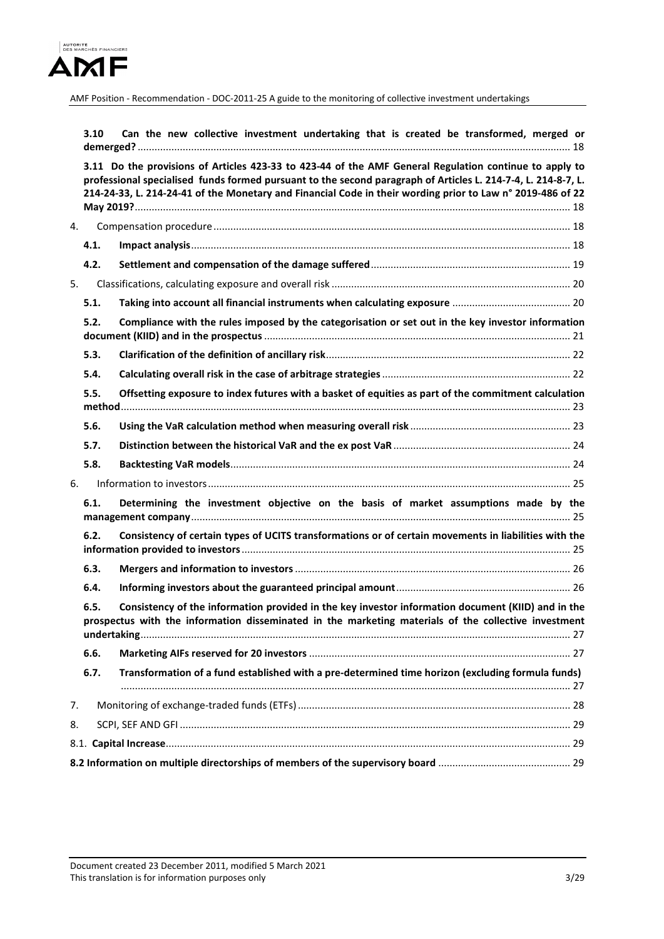

|    | 3.10                                                                                                                                                                                                               | Can the new collective investment undertaking that is created be transformed, merged or                                                                                                                                                                                                                                               |  |  |  |
|----|--------------------------------------------------------------------------------------------------------------------------------------------------------------------------------------------------------------------|---------------------------------------------------------------------------------------------------------------------------------------------------------------------------------------------------------------------------------------------------------------------------------------------------------------------------------------|--|--|--|
|    |                                                                                                                                                                                                                    | 3.11 Do the provisions of Articles 423-33 to 423-44 of the AMF General Regulation continue to apply to<br>professional specialised funds formed pursuant to the second paragraph of Articles L. 214-7-4, L. 214-8-7, L.<br>214-24-33, L. 214-24-41 of the Monetary and Financial Code in their wording prior to Law n° 2019-486 of 22 |  |  |  |
| 4. |                                                                                                                                                                                                                    |                                                                                                                                                                                                                                                                                                                                       |  |  |  |
|    | 4.1.                                                                                                                                                                                                               |                                                                                                                                                                                                                                                                                                                                       |  |  |  |
|    | 4.2.                                                                                                                                                                                                               |                                                                                                                                                                                                                                                                                                                                       |  |  |  |
| 5. |                                                                                                                                                                                                                    |                                                                                                                                                                                                                                                                                                                                       |  |  |  |
|    | 5.1.                                                                                                                                                                                                               |                                                                                                                                                                                                                                                                                                                                       |  |  |  |
|    | 5.2.                                                                                                                                                                                                               | Compliance with the rules imposed by the categorisation or set out in the key investor information                                                                                                                                                                                                                                    |  |  |  |
|    | 5.3.                                                                                                                                                                                                               |                                                                                                                                                                                                                                                                                                                                       |  |  |  |
|    | 5.4.                                                                                                                                                                                                               |                                                                                                                                                                                                                                                                                                                                       |  |  |  |
|    | Offsetting exposure to index futures with a basket of equities as part of the commitment calculation<br>5.5.                                                                                                       |                                                                                                                                                                                                                                                                                                                                       |  |  |  |
|    | 5.6.                                                                                                                                                                                                               |                                                                                                                                                                                                                                                                                                                                       |  |  |  |
|    | 5.7.                                                                                                                                                                                                               |                                                                                                                                                                                                                                                                                                                                       |  |  |  |
|    | 5.8.                                                                                                                                                                                                               |                                                                                                                                                                                                                                                                                                                                       |  |  |  |
| 6. |                                                                                                                                                                                                                    |                                                                                                                                                                                                                                                                                                                                       |  |  |  |
|    | 6.1.                                                                                                                                                                                                               | Determining the investment objective on the basis of market assumptions made by the                                                                                                                                                                                                                                                   |  |  |  |
|    | 6.2.                                                                                                                                                                                                               | Consistency of certain types of UCITS transformations or of certain movements in liabilities with the                                                                                                                                                                                                                                 |  |  |  |
|    | 6.3.                                                                                                                                                                                                               |                                                                                                                                                                                                                                                                                                                                       |  |  |  |
|    | 6.4.                                                                                                                                                                                                               |                                                                                                                                                                                                                                                                                                                                       |  |  |  |
|    | Consistency of the information provided in the key investor information document (KIID) and in the<br>6.5.<br>prospectus with the information disseminated in the marketing materials of the collective investment |                                                                                                                                                                                                                                                                                                                                       |  |  |  |
|    | 6.6.                                                                                                                                                                                                               |                                                                                                                                                                                                                                                                                                                                       |  |  |  |
|    | 6.7.                                                                                                                                                                                                               | Transformation of a fund established with a pre-determined time horizon (excluding formula funds)                                                                                                                                                                                                                                     |  |  |  |
| 7. |                                                                                                                                                                                                                    |                                                                                                                                                                                                                                                                                                                                       |  |  |  |
| 8. |                                                                                                                                                                                                                    |                                                                                                                                                                                                                                                                                                                                       |  |  |  |
|    |                                                                                                                                                                                                                    |                                                                                                                                                                                                                                                                                                                                       |  |  |  |
|    |                                                                                                                                                                                                                    |                                                                                                                                                                                                                                                                                                                                       |  |  |  |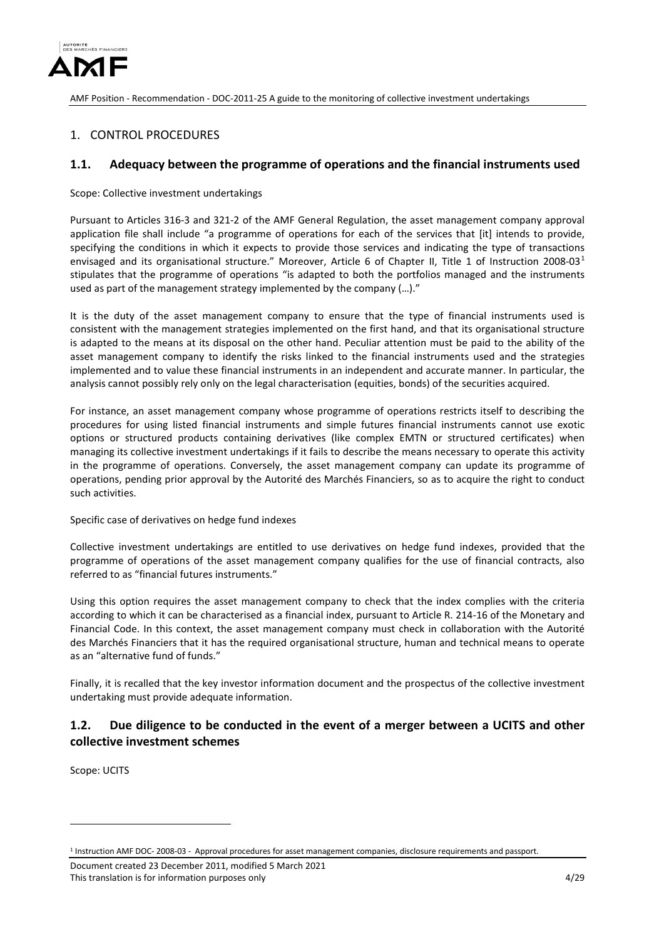

## <span id="page-3-0"></span>1. CONTROL PROCEDURES

## <span id="page-3-1"></span>**1.1. Adequacy between the programme of operations and the financial instruments used**

Scope: Collective investment undertakings

Pursuant to Articles 316-3 and 321-2 of the AMF General Regulation, the asset management company approval application file shall include "a programme of operations for each of the services that [it] intends to provide, specifying the conditions in which it expects to provide those services and indicating the type of transactions envisaged and its organisational structure." Moreover, Article 6 of Chapter II, Title [1](#page-3-3) of Instruction 2008-03<sup>1</sup> stipulates that the programme of operations "is adapted to both the portfolios managed and the instruments used as part of the management strategy implemented by the company (…)."

It is the duty of the asset management company to ensure that the type of financial instruments used is consistent with the management strategies implemented on the first hand, and that its organisational structure is adapted to the means at its disposal on the other hand. Peculiar attention must be paid to the ability of the asset management company to identify the risks linked to the financial instruments used and the strategies implemented and to value these financial instruments in an independent and accurate manner. In particular, the analysis cannot possibly rely only on the legal characterisation (equities, bonds) of the securities acquired.

For instance, an asset management company whose programme of operations restricts itself to describing the procedures for using listed financial instruments and simple futures financial instruments cannot use exotic options or structured products containing derivatives (like complex EMTN or structured certificates) when managing its collective investment undertakings if it fails to describe the means necessary to operate this activity in the programme of operations. Conversely, the asset management company can update its programme of operations, pending prior approval by the Autorité des Marchés Financiers, so as to acquire the right to conduct such activities.

Specific case of derivatives on hedge fund indexes

Collective investment undertakings are entitled to use derivatives on hedge fund indexes, provided that the programme of operations of the asset management company qualifies for the use of financial contracts, also referred to as "financial futures instruments."

Using this option requires the asset management company to check that the index complies with the criteria according to which it can be characterised as a financial index, pursuant to Article R. 214-16 of the Monetary and Financial Code. In this context, the asset management company must check in collaboration with the Autorité des Marchés Financiers that it has the required organisational structure, human and technical means to operate as an "alternative fund of funds."

Finally, it is recalled that the key investor information document and the prospectus of the collective investment undertaking must provide adequate information.

## <span id="page-3-2"></span>**1.2. Due diligence to be conducted in the event of a merger between a UCITS and other collective investment schemes**

Scope: UCITS

-

Document created 23 December 2011, modified 5 March 2021 This translation is for information purposes only the state of the state of the state of the 4/29 and 4/29 and 4/29

<span id="page-3-3"></span><sup>1</sup> Instruction AMF DOC- 2008-03 - Approval procedures for asset management companies, disclosure requirements and passport.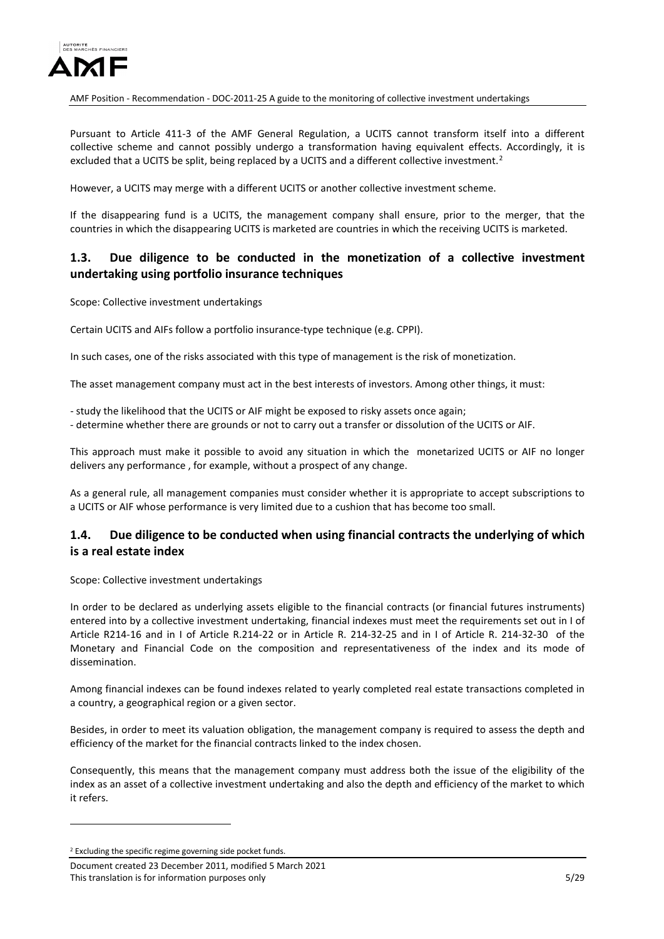

Pursuant to Article 411-3 of the AMF General Regulation, a UCITS cannot transform itself into a different collective scheme and cannot possibly undergo a transformation having equivalent effects. Accordingly, it is excluded that a UCITS be split, being replaced by a UCITS and a different collective investment.<sup>[2](#page-4-2)</sup>

However, a UCITS may merge with a different UCITS or another collective investment scheme.

If the disappearing fund is a UCITS, the management company shall ensure, prior to the merger, that the countries in which the disappearing UCITS is marketed are countries in which the receiving UCITS is marketed.

## <span id="page-4-0"></span>**1.3. Due diligence to be conducted in the monetization of a collective investment undertaking using portfolio insurance techniques**

Scope: Collective investment undertakings

Certain UCITS and AIFs follow a portfolio insurance-type technique (e.g. CPPI).

In such cases, one of the risks associated with this type of management is the risk of monetization.

The asset management company must act in the best interests of investors. Among other things, it must:

- study the likelihood that the UCITS or AIF might be exposed to risky assets once again;

- determine whether there are grounds or not to carry out a transfer or dissolution of the UCITS or AIF.

This approach must make it possible to avoid any situation in which the monetarized UCITS or AIF no longer delivers any performance , for example, without a prospect of any change.

As a general rule, all management companies must consider whether it is appropriate to accept subscriptions to a UCITS or AIF whose performance is very limited due to a cushion that has become too small.

## <span id="page-4-1"></span>**1.4. Due diligence to be conducted when using financial contracts the underlying of which is a real estate index**

Scope: Collective investment undertakings

In order to be declared as underlying assets eligible to the financial contracts (or financial futures instruments) entered into by a collective investment undertaking, financial indexes must meet the requirements set out in I of Article R214-16 and in I of Article R.214-22 or in Article R. 214-32-25 and in I of Article R. 214-32-30 of the Monetary and Financial Code on the composition and representativeness of the index and its mode of dissemination.

Among financial indexes can be found indexes related to yearly completed real estate transactions completed in a country, a geographical region or a given sector.

Besides, in order to meet its valuation obligation, the management company is required to assess the depth and efficiency of the market for the financial contracts linked to the index chosen.

Consequently, this means that the management company must address both the issue of the eligibility of the index as an asset of a collective investment undertaking and also the depth and efficiency of the market to which it refers.

-

<span id="page-4-2"></span><sup>&</sup>lt;sup>2</sup> Excluding the specific regime governing side pocket funds.

Document created 23 December 2011, modified 5 March 2021 This translation is for information purposes only 5/29 Services on the state of the state of the state of the state of the state of the state of the state of the state of the state of the state of the state of the state of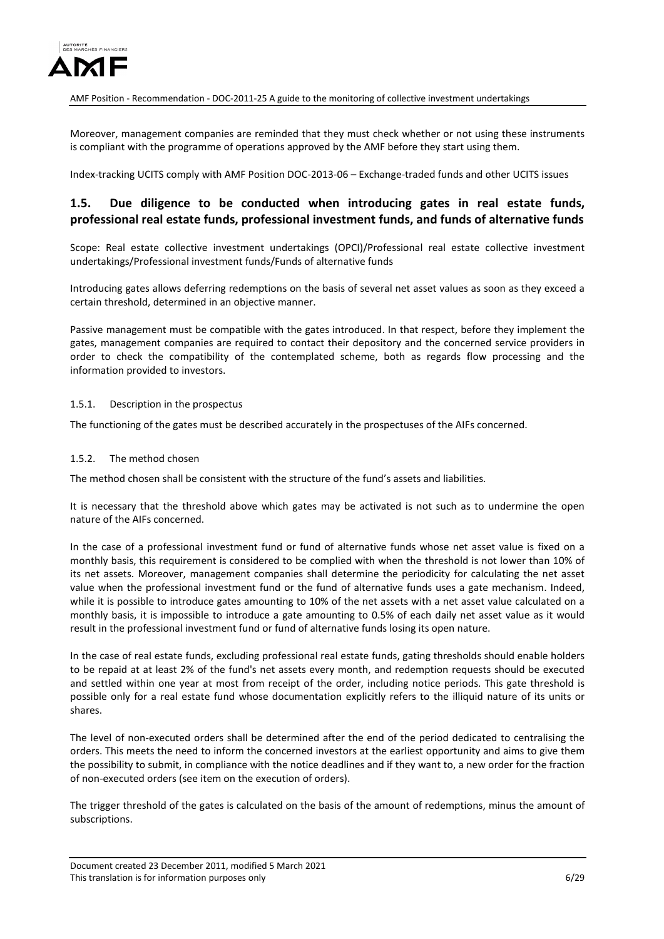

Moreover, management companies are reminded that they must check whether or not using these instruments is compliant with the programme of operations approved by the AMF before they start using them.

Index-tracking UCITS comply with AMF Position DOC-2013-06 – Exchange-traded funds and other UCITS issues

## <span id="page-5-0"></span>**1.5. Due diligence to be conducted when introducing gates in real estate funds, professional real estate funds, professional investment funds, and funds of alternative funds**

Scope: Real estate collective investment undertakings (OPCI)/Professional real estate collective investment undertakings/Professional investment funds/Funds of alternative funds

Introducing gates allows deferring redemptions on the basis of several net asset values as soon as they exceed a certain threshold, determined in an objective manner.

Passive management must be compatible with the gates introduced. In that respect, before they implement the gates, management companies are required to contact their depository and the concerned service providers in order to check the compatibility of the contemplated scheme, both as regards flow processing and the information provided to investors.

#### <span id="page-5-1"></span>1.5.1. Description in the prospectus

The functioning of the gates must be described accurately in the prospectuses of the AIFs concerned.

#### <span id="page-5-2"></span>1.5.2. The method chosen

The method chosen shall be consistent with the structure of the fund's assets and liabilities.

It is necessary that the threshold above which gates may be activated is not such as to undermine the open nature of the AIFs concerned.

In the case of a professional investment fund or fund of alternative funds whose net asset value is fixed on a monthly basis, this requirement is considered to be complied with when the threshold is not lower than 10% of its net assets. Moreover, management companies shall determine the periodicity for calculating the net asset value when the professional investment fund or the fund of alternative funds uses a gate mechanism. Indeed, while it is possible to introduce gates amounting to 10% of the net assets with a net asset value calculated on a monthly basis, it is impossible to introduce a gate amounting to 0.5% of each daily net asset value as it would result in the professional investment fund or fund of alternative funds losing its open nature.

In the case of real estate funds, excluding professional real estate funds, gating thresholds should enable holders to be repaid at at least 2% of the fund's net assets every month, and redemption requests should be executed and settled within one year at most from receipt of the order, including notice periods. This gate threshold is possible only for a real estate fund whose documentation explicitly refers to the illiquid nature of its units or shares.

The level of non-executed orders shall be determined after the end of the period dedicated to centralising the orders. This meets the need to inform the concerned investors at the earliest opportunity and aims to give them the possibility to submit, in compliance with the notice deadlines and if they want to, a new order for the fraction of non-executed orders (see item on the execution of orders).

The trigger threshold of the gates is calculated on the basis of the amount of redemptions, minus the amount of subscriptions.

Document created 23 December 2011, modified 5 March 2021 This translation is for information purposes only **6/29** and the set of the set of the set of the set of the set of the set of the set of the set of the set of the set of the set of the set of the set of the set of the set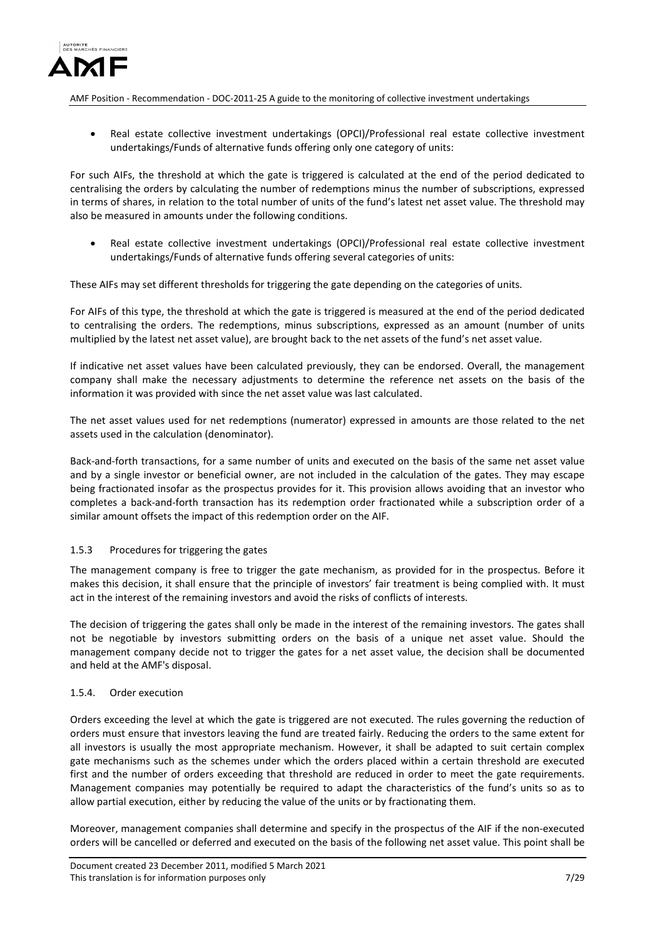

• Real estate collective investment undertakings (OPCI)/Professional real estate collective investment undertakings/Funds of alternative funds offering only one category of units:

For such AIFs, the threshold at which the gate is triggered is calculated at the end of the period dedicated to centralising the orders by calculating the number of redemptions minus the number of subscriptions, expressed in terms of shares, in relation to the total number of units of the fund's latest net asset value. The threshold may also be measured in amounts under the following conditions.

• Real estate collective investment undertakings (OPCI)/Professional real estate collective investment undertakings/Funds of alternative funds offering several categories of units:

These AIFs may set different thresholds for triggering the gate depending on the categories of units.

For AIFs of this type, the threshold at which the gate is triggered is measured at the end of the period dedicated to centralising the orders. The redemptions, minus subscriptions, expressed as an amount (number of units multiplied by the latest net asset value), are brought back to the net assets of the fund's net asset value.

If indicative net asset values have been calculated previously, they can be endorsed. Overall, the management company shall make the necessary adjustments to determine the reference net assets on the basis of the information it was provided with since the net asset value was last calculated.

The net asset values used for net redemptions (numerator) expressed in amounts are those related to the net assets used in the calculation (denominator).

Back-and-forth transactions, for a same number of units and executed on the basis of the same net asset value and by a single investor or beneficial owner, are not included in the calculation of the gates. They may escape being fractionated insofar as the prospectus provides for it. This provision allows avoiding that an investor who completes a back-and-forth transaction has its redemption order fractionated while a subscription order of a similar amount offsets the impact of this redemption order on the AIF.

### <span id="page-6-0"></span>1.5.3 Procedures for triggering the gates

The management company is free to trigger the gate mechanism, as provided for in the prospectus. Before it makes this decision, it shall ensure that the principle of investors' fair treatment is being complied with. It must act in the interest of the remaining investors and avoid the risks of conflicts of interests.

The decision of triggering the gates shall only be made in the interest of the remaining investors. The gates shall not be negotiable by investors submitting orders on the basis of a unique net asset value. Should the management company decide not to trigger the gates for a net asset value, the decision shall be documented and held at the AMF's disposal.

#### <span id="page-6-1"></span>1.5.4. Order execution

Orders exceeding the level at which the gate is triggered are not executed. The rules governing the reduction of orders must ensure that investors leaving the fund are treated fairly. Reducing the orders to the same extent for all investors is usually the most appropriate mechanism. However, it shall be adapted to suit certain complex gate mechanisms such as the schemes under which the orders placed within a certain threshold are executed first and the number of orders exceeding that threshold are reduced in order to meet the gate requirements. Management companies may potentially be required to adapt the characteristics of the fund's units so as to allow partial execution, either by reducing the value of the units or by fractionating them.

Moreover, management companies shall determine and specify in the prospectus of the AIF if the non-executed orders will be cancelled or deferred and executed on the basis of the following net asset value. This point shall be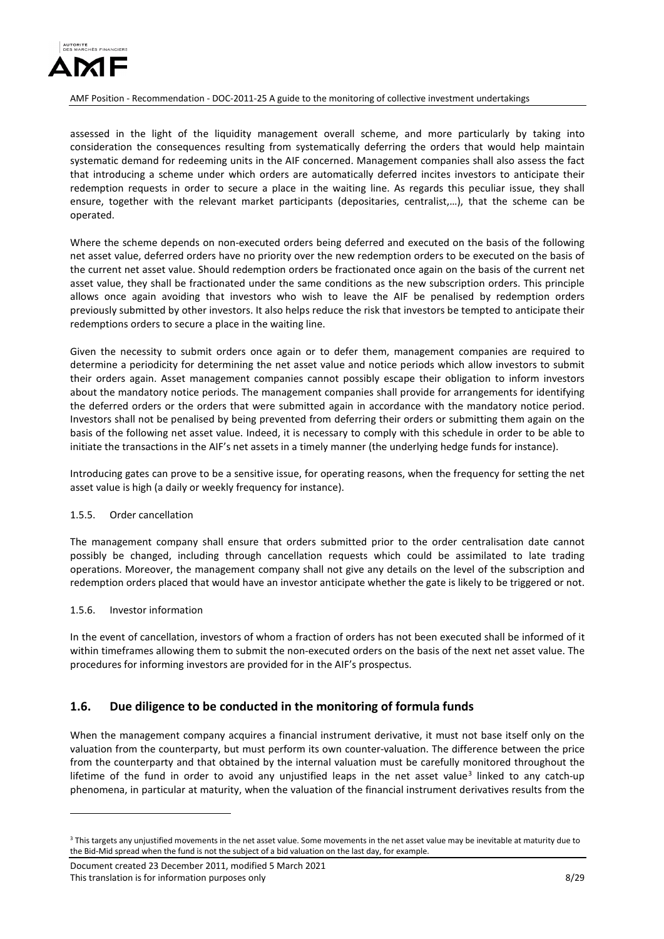

assessed in the light of the liquidity management overall scheme, and more particularly by taking into consideration the consequences resulting from systematically deferring the orders that would help maintain systematic demand for redeeming units in the AIF concerned. Management companies shall also assess the fact that introducing a scheme under which orders are automatically deferred incites investors to anticipate their redemption requests in order to secure a place in the waiting line. As regards this peculiar issue, they shall ensure, together with the relevant market participants (depositaries, centralist,…), that the scheme can be operated.

Where the scheme depends on non-executed orders being deferred and executed on the basis of the following net asset value, deferred orders have no priority over the new redemption orders to be executed on the basis of the current net asset value. Should redemption orders be fractionated once again on the basis of the current net asset value, they shall be fractionated under the same conditions as the new subscription orders. This principle allows once again avoiding that investors who wish to leave the AIF be penalised by redemption orders previously submitted by other investors. It also helps reduce the risk that investors be tempted to anticipate their redemptions orders to secure a place in the waiting line.

Given the necessity to submit orders once again or to defer them, management companies are required to determine a periodicity for determining the net asset value and notice periods which allow investors to submit their orders again. Asset management companies cannot possibly escape their obligation to inform investors about the mandatory notice periods. The management companies shall provide for arrangements for identifying the deferred orders or the orders that were submitted again in accordance with the mandatory notice period. Investors shall not be penalised by being prevented from deferring their orders or submitting them again on the basis of the following net asset value. Indeed, it is necessary to comply with this schedule in order to be able to initiate the transactions in the AIF's net assets in a timely manner (the underlying hedge funds for instance).

Introducing gates can prove to be a sensitive issue, for operating reasons, when the frequency for setting the net asset value is high (a daily or weekly frequency for instance).

#### <span id="page-7-0"></span>1.5.5. Order cancellation

The management company shall ensure that orders submitted prior to the order centralisation date cannot possibly be changed, including through cancellation requests which could be assimilated to late trading operations. Moreover, the management company shall not give any details on the level of the subscription and redemption orders placed that would have an investor anticipate whether the gate is likely to be triggered or not.

#### <span id="page-7-1"></span>1.5.6. Investor information

-

In the event of cancellation, investors of whom a fraction of orders has not been executed shall be informed of it within timeframes allowing them to submit the non-executed orders on the basis of the next net asset value. The procedures for informing investors are provided for in the AIF's prospectus.

## <span id="page-7-2"></span>**1.6. Due diligence to be conducted in the monitoring of formula funds**

When the management company acquires a financial instrument derivative, it must not base itself only on the valuation from the counterparty, but must perform its own counter-valuation. The difference between the price from the counterparty and that obtained by the internal valuation must be carefully monitored throughout the lifetime of the fund in order to avoid any uniustified leaps in the net asset value<sup>[3](#page-7-3)</sup> linked to any catch-up phenomena, in particular at maturity, when the valuation of the financial instrument derivatives results from the

<span id="page-7-3"></span><sup>&</sup>lt;sup>3</sup> This targets any unjustified movements in the net asset value. Some movements in the net asset value may be inevitable at maturity due to the Bid-Mid spread when the fund is not the subject of a bid valuation on the last day, for example.

Document created 23 December 2011, modified 5 March 2021 This translation is for information purposes only **8/29** and the set of the set of the set of the set of the set of the set of the set of the set of the set of the set of the set of the set of the set of the set of the set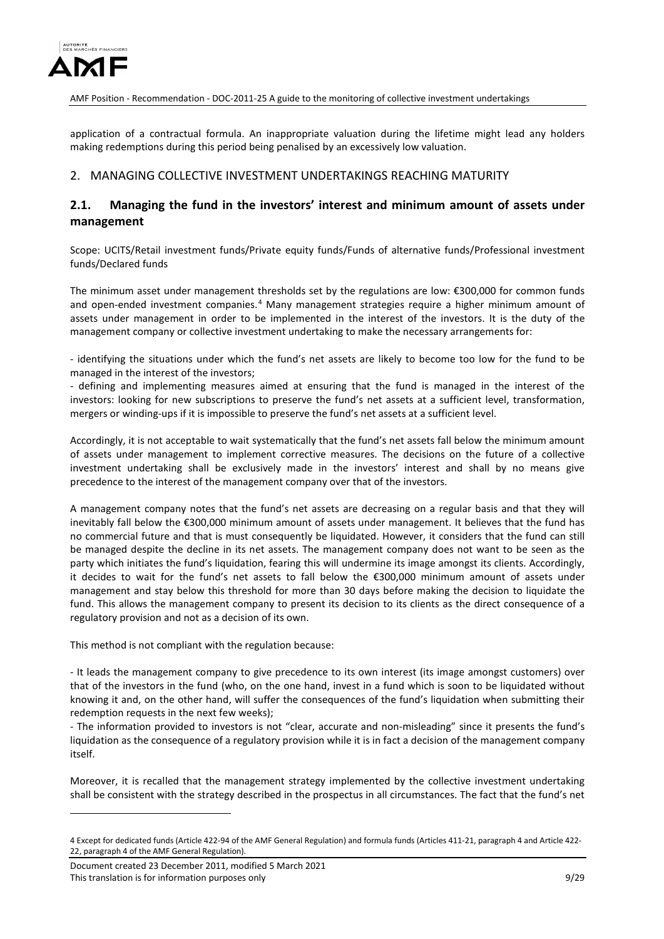

application of a contractual formula. An inappropriate valuation during the lifetime might lead any holders making redemptions during this period being penalised by an excessively low valuation.

## <span id="page-8-0"></span>2. MANAGING COLLECTIVE INVESTMENT UNDERTAKINGS REACHING MATURITY

## <span id="page-8-1"></span>**2.1. Managing the fund in the investors' interest and minimum amount of assets under management**

Scope: UCITS/Retail investment funds/Private equity funds/Funds of alternative funds/Professional investment funds/Declared funds

The minimum asset under management thresholds set by the regulations are low: €300,000 for common funds and open-ended investment companies.<sup>[4](#page-8-2)</sup> Many management strategies require a higher minimum amount of assets under management in order to be implemented in the interest of the investors. It is the duty of the management company or collective investment undertaking to make the necessary arrangements for:

- identifying the situations under which the fund's net assets are likely to become too low for the fund to be managed in the interest of the investors;

- defining and implementing measures aimed at ensuring that the fund is managed in the interest of the investors: looking for new subscriptions to preserve the fund's net assets at a sufficient level, transformation, mergers or winding-ups if it is impossible to preserve the fund's net assets at a sufficient level.

Accordingly, it is not acceptable to wait systematically that the fund's net assets fall below the minimum amount of assets under management to implement corrective measures. The decisions on the future of a collective investment undertaking shall be exclusively made in the investors' interest and shall by no means give precedence to the interest of the management company over that of the investors.

A management company notes that the fund's net assets are decreasing on a regular basis and that they will inevitably fall below the €300,000 minimum amount of assets under management. It believes that the fund has no commercial future and that is must consequently be liquidated. However, it considers that the fund can still be managed despite the decline in its net assets. The management company does not want to be seen as the party which initiates the fund's liquidation, fearing this will undermine its image amongst its clients. Accordingly, it decides to wait for the fund's net assets to fall below the €300,000 minimum amount of assets under management and stay below this threshold for more than 30 days before making the decision to liquidate the fund. This allows the management company to present its decision to its clients as the direct consequence of a regulatory provision and not as a decision of its own.

This method is not compliant with the regulation because:

- It leads the management company to give precedence to its own interest (its image amongst customers) over that of the investors in the fund (who, on the one hand, invest in a fund which is soon to be liquidated without knowing it and, on the other hand, will suffer the consequences of the fund's liquidation when submitting their redemption requests in the next few weeks);

- The information provided to investors is not "clear, accurate and non-misleading" since it presents the fund's liquidation as the consequence of a regulatory provision while it is in fact a decision of the management company itself.

Moreover, it is recalled that the management strategy implemented by the collective investment undertaking shall be consistent with the strategy described in the prospectus in all circumstances. The fact that the fund's net

-

<span id="page-8-2"></span><sup>4</sup> Except for dedicated funds (Article 422-94 of the AMF General Regulation) and formula funds (Articles 411-21, paragraph 4 and Article 422- 22, paragraph 4 of the AMF General Regulation).

Document created 23 December 2011, modified 5 March 2021 This translation is for information purposes only **19929** Section 2012 12:30 This translation is for information purposes only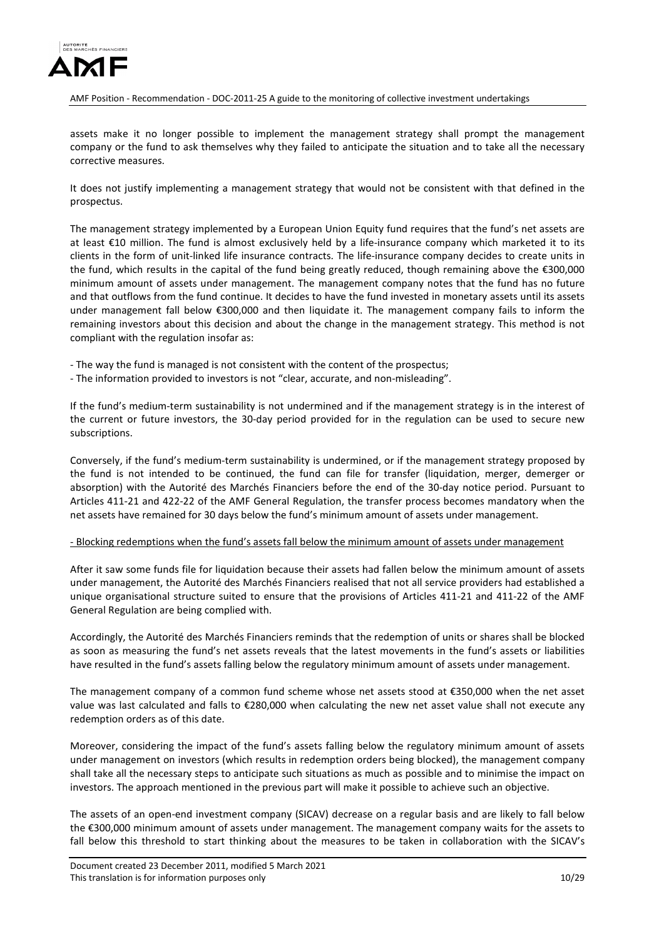

assets make it no longer possible to implement the management strategy shall prompt the management company or the fund to ask themselves why they failed to anticipate the situation and to take all the necessary corrective measures.

It does not justify implementing a management strategy that would not be consistent with that defined in the prospectus.

The management strategy implemented by a European Union Equity fund requires that the fund's net assets are at least €10 million. The fund is almost exclusively held by a life-insurance company which marketed it to its clients in the form of unit-linked life insurance contracts. The life-insurance company decides to create units in the fund, which results in the capital of the fund being greatly reduced, though remaining above the €300,000 minimum amount of assets under management. The management company notes that the fund has no future and that outflows from the fund continue. It decides to have the fund invested in monetary assets until its assets under management fall below €300,000 and then liquidate it. The management company fails to inform the remaining investors about this decision and about the change in the management strategy. This method is not compliant with the regulation insofar as:

- The way the fund is managed is not consistent with the content of the prospectus;

- The information provided to investors is not "clear, accurate, and non-misleading".

If the fund's medium-term sustainability is not undermined and if the management strategy is in the interest of the current or future investors, the 30-day period provided for in the regulation can be used to secure new subscriptions.

Conversely, if the fund's medium-term sustainability is undermined, or if the management strategy proposed by the fund is not intended to be continued, the fund can file for transfer (liquidation, merger, demerger or absorption) with the Autorité des Marchés Financiers before the end of the 30-day notice period. Pursuant to Articles 411-21 and 422-22 of the AMF General Regulation, the transfer process becomes mandatory when the net assets have remained for 30 days below the fund's minimum amount of assets under management.

#### - Blocking redemptions when the fund's assets fall below the minimum amount of assets under management

After it saw some funds file for liquidation because their assets had fallen below the minimum amount of assets under management, the Autorité des Marchés Financiers realised that not all service providers had established a unique organisational structure suited to ensure that the provisions of Articles 411-21 and 411-22 of the AMF General Regulation are being complied with.

Accordingly, the Autorité des Marchés Financiers reminds that the redemption of units or shares shall be blocked as soon as measuring the fund's net assets reveals that the latest movements in the fund's assets or liabilities have resulted in the fund's assets falling below the regulatory minimum amount of assets under management.

The management company of a common fund scheme whose net assets stood at €350,000 when the net asset value was last calculated and falls to €280,000 when calculating the new net asset value shall not execute any redemption orders as of this date.

Moreover, considering the impact of the fund's assets falling below the regulatory minimum amount of assets under management on investors (which results in redemption orders being blocked), the management company shall take all the necessary steps to anticipate such situations as much as possible and to minimise the impact on investors. The approach mentioned in the previous part will make it possible to achieve such an objective.

The assets of an open-end investment company (SICAV) decrease on a regular basis and are likely to fall below the €300,000 minimum amount of assets under management. The management company waits for the assets to fall below this threshold to start thinking about the measures to be taken in collaboration with the SICAV's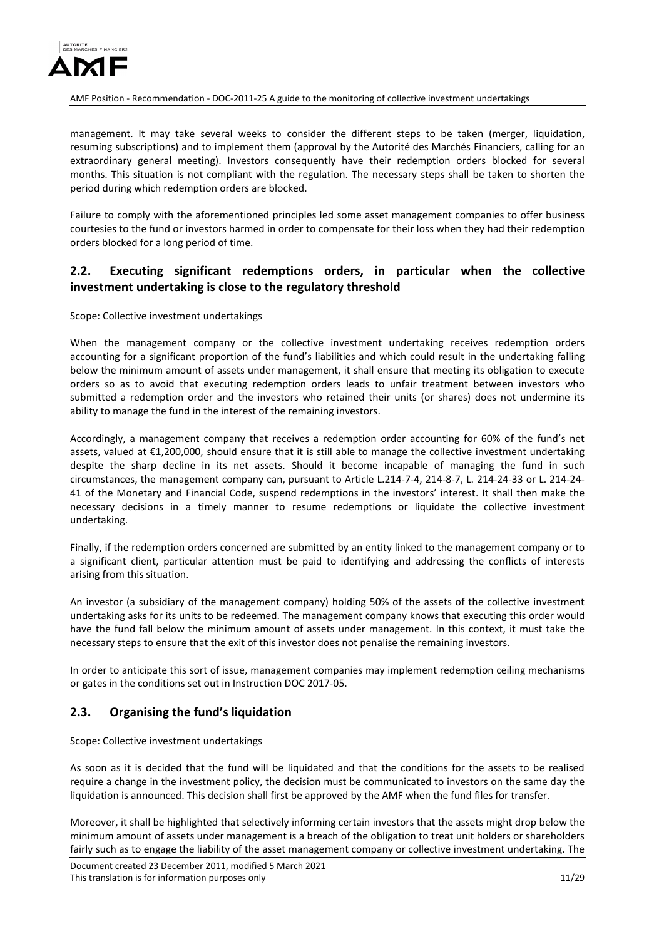

management. It may take several weeks to consider the different steps to be taken (merger, liquidation, resuming subscriptions) and to implement them (approval by the Autorité des Marchés Financiers, calling for an extraordinary general meeting). Investors consequently have their redemption orders blocked for several months. This situation is not compliant with the regulation. The necessary steps shall be taken to shorten the period during which redemption orders are blocked.

Failure to comply with the aforementioned principles led some asset management companies to offer business courtesies to the fund or investors harmed in order to compensate for their loss when they had their redemption orders blocked for a long period of time.

## <span id="page-10-0"></span>**2.2. Executing significant redemptions orders, in particular when the collective investment undertaking is close to the regulatory threshold**

Scope: Collective investment undertakings

When the management company or the collective investment undertaking receives redemption orders accounting for a significant proportion of the fund's liabilities and which could result in the undertaking falling below the minimum amount of assets under management, it shall ensure that meeting its obligation to execute orders so as to avoid that executing redemption orders leads to unfair treatment between investors who submitted a redemption order and the investors who retained their units (or shares) does not undermine its ability to manage the fund in the interest of the remaining investors.

Accordingly, a management company that receives a redemption order accounting for 60% of the fund's net assets, valued at €1,200,000, should ensure that it is still able to manage the collective investment undertaking despite the sharp decline in its net assets. Should it become incapable of managing the fund in such circumstances, the management company can, pursuant to Article L.214-7-4, 214-8-7, L. 214-24-33 or L. 214-24- 41 of the Monetary and Financial Code, suspend redemptions in the investors' interest. It shall then make the necessary decisions in a timely manner to resume redemptions or liquidate the collective investment undertaking.

Finally, if the redemption orders concerned are submitted by an entity linked to the management company or to a significant client, particular attention must be paid to identifying and addressing the conflicts of interests arising from this situation.

An investor (a subsidiary of the management company) holding 50% of the assets of the collective investment undertaking asks for its units to be redeemed. The management company knows that executing this order would have the fund fall below the minimum amount of assets under management. In this context, it must take the necessary steps to ensure that the exit of this investor does not penalise the remaining investors.

In order to anticipate this sort of issue, management companies may implement redemption ceiling mechanisms or gates in the conditions set out in Instruction DOC 2017-05.

# <span id="page-10-1"></span>**2.3. Organising the fund's liquidation**

Scope: Collective investment undertakings

As soon as it is decided that the fund will be liquidated and that the conditions for the assets to be realised require a change in the investment policy, the decision must be communicated to investors on the same day the liquidation is announced. This decision shall first be approved by the AMF when the fund files for transfer.

Moreover, it shall be highlighted that selectively informing certain investors that the assets might drop below the minimum amount of assets under management is a breach of the obligation to treat unit holders or shareholders fairly such as to engage the liability of the asset management company or collective investment undertaking. The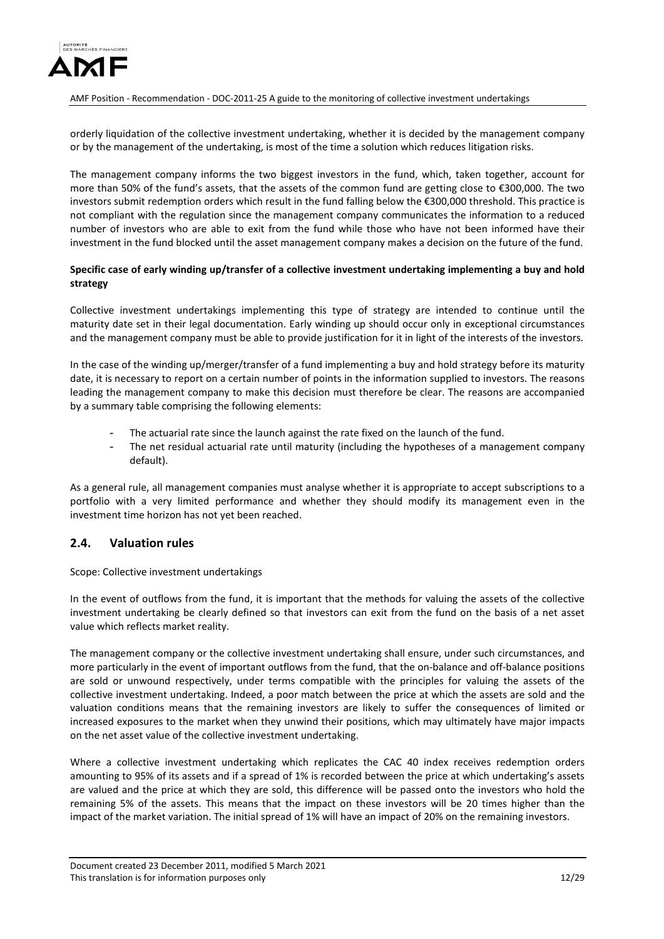

orderly liquidation of the collective investment undertaking, whether it is decided by the management company or by the management of the undertaking, is most of the time a solution which reduces litigation risks.

The management company informs the two biggest investors in the fund, which, taken together, account for more than 50% of the fund's assets, that the assets of the common fund are getting close to €300,000. The two investors submit redemption orders which result in the fund falling below the €300,000 threshold. This practice is not compliant with the regulation since the management company communicates the information to a reduced number of investors who are able to exit from the fund while those who have not been informed have their investment in the fund blocked until the asset management company makes a decision on the future of the fund.

#### **Specific case of early winding up/transfer of a collective investment undertaking implementing a buy and hold strategy**

Collective investment undertakings implementing this type of strategy are intended to continue until the maturity date set in their legal documentation. Early winding up should occur only in exceptional circumstances and the management company must be able to provide justification for it in light of the interests of the investors.

In the case of the winding up/merger/transfer of a fund implementing a buy and hold strategy before its maturity date, it is necessary to report on a certain number of points in the information supplied to investors. The reasons leading the management company to make this decision must therefore be clear. The reasons are accompanied by a summary table comprising the following elements:

- The actuarial rate since the launch against the rate fixed on the launch of the fund.
- The net residual actuarial rate until maturity (including the hypotheses of a management company default).

As a general rule, all management companies must analyse whether it is appropriate to accept subscriptions to a portfolio with a very limited performance and whether they should modify its management even in the investment time horizon has not yet been reached.

## <span id="page-11-0"></span>**2.4. Valuation rules**

Scope: Collective investment undertakings

In the event of outflows from the fund, it is important that the methods for valuing the assets of the collective investment undertaking be clearly defined so that investors can exit from the fund on the basis of a net asset value which reflects market reality.

The management company or the collective investment undertaking shall ensure, under such circumstances, and more particularly in the event of important outflows from the fund, that the on-balance and off-balance positions are sold or unwound respectively, under terms compatible with the principles for valuing the assets of the collective investment undertaking. Indeed, a poor match between the price at which the assets are sold and the valuation conditions means that the remaining investors are likely to suffer the consequences of limited or increased exposures to the market when they unwind their positions, which may ultimately have major impacts on the net asset value of the collective investment undertaking.

Where a collective investment undertaking which replicates the CAC 40 index receives redemption orders amounting to 95% of its assets and if a spread of 1% is recorded between the price at which undertaking's assets are valued and the price at which they are sold, this difference will be passed onto the investors who hold the remaining 5% of the assets. This means that the impact on these investors will be 20 times higher than the impact of the market variation. The initial spread of 1% will have an impact of 20% on the remaining investors.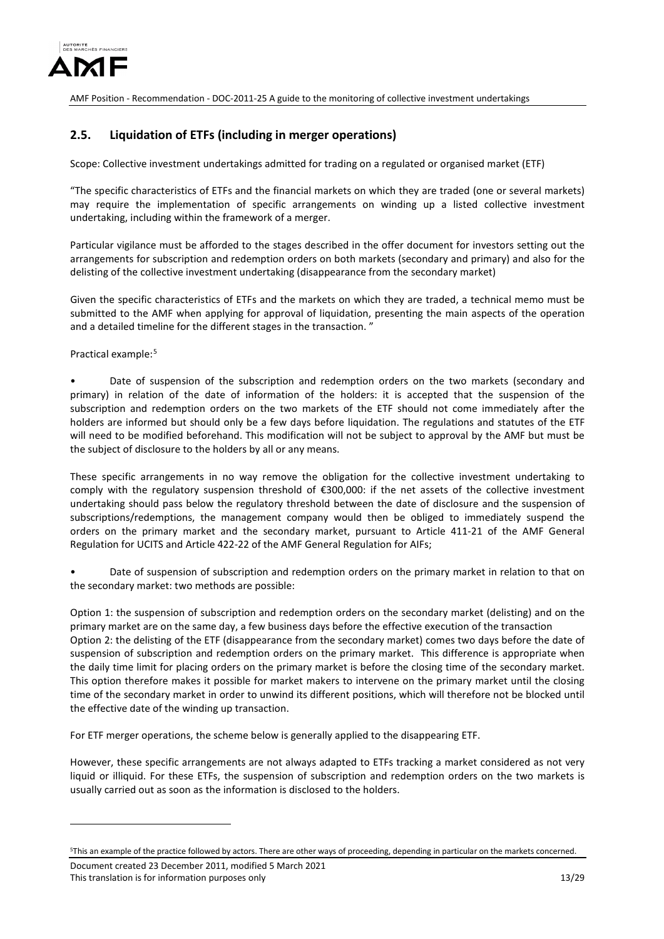

## <span id="page-12-0"></span>**2.5. Liquidation of ETFs (including in merger operations)**

Scope: Collective investment undertakings admitted for trading on a regulated or organised market (ETF)

"The specific characteristics of ETFs and the financial markets on which they are traded (one or several markets) may require the implementation of specific arrangements on winding up a listed collective investment undertaking, including within the framework of a merger.

Particular vigilance must be afforded to the stages described in the offer document for investors setting out the arrangements for subscription and redemption orders on both markets (secondary and primary) and also for the delisting of the collective investment undertaking (disappearance from the secondary market)

Given the specific characteristics of ETFs and the markets on which they are traded, a technical memo must be submitted to the AMF when applying for approval of liquidation, presenting the main aspects of the operation and a detailed timeline for the different stages in the transaction. "

Practical example:<sup>[5](#page-12-1)</sup>

Date of suspension of the subscription and redemption orders on the two markets (secondary and primary) in relation of the date of information of the holders: it is accepted that the suspension of the subscription and redemption orders on the two markets of the ETF should not come immediately after the holders are informed but should only be a few days before liquidation. The regulations and statutes of the ETF will need to be modified beforehand. This modification will not be subject to approval by the AMF but must be the subject of disclosure to the holders by all or any means.

These specific arrangements in no way remove the obligation for the collective investment undertaking to comply with the regulatory suspension threshold of €300,000: if the net assets of the collective investment undertaking should pass below the regulatory threshold between the date of disclosure and the suspension of subscriptions/redemptions, the management company would then be obliged to immediately suspend the orders on the primary market and the secondary market, pursuant to Article 411-21 of the AMF General Regulation for UCITS and Article 422-22 of the AMF General Regulation for AIFs;

Date of suspension of subscription and redemption orders on the primary market in relation to that on the secondary market: two methods are possible:

Option 1: the suspension of subscription and redemption orders on the secondary market (delisting) and on the primary market are on the same day, a few business days before the effective execution of the transaction Option 2: the delisting of the ETF (disappearance from the secondary market) comes two days before the date of suspension of subscription and redemption orders on the primary market. This difference is appropriate when the daily time limit for placing orders on the primary market is before the closing time of the secondary market. This option therefore makes it possible for market makers to intervene on the primary market until the closing time of the secondary market in order to unwind its different positions, which will therefore not be blocked until the effective date of the winding up transaction.

For ETF merger operations, the scheme below is generally applied to the disappearing ETF.

However, these specific arrangements are not always adapted to ETFs tracking a market considered as not very liquid or illiquid. For these ETFs, the suspension of subscription and redemption orders on the two markets is usually carried out as soon as the information is disclosed to the holders.

-

<span id="page-12-1"></span><sup>5</sup> This an example of the practice followed by actors. There are other ways of proceeding, depending in particular on the markets concerned.

Document created 23 December 2011, modified 5 March 2021 This translation is for information purposes only 13/29 and 13/29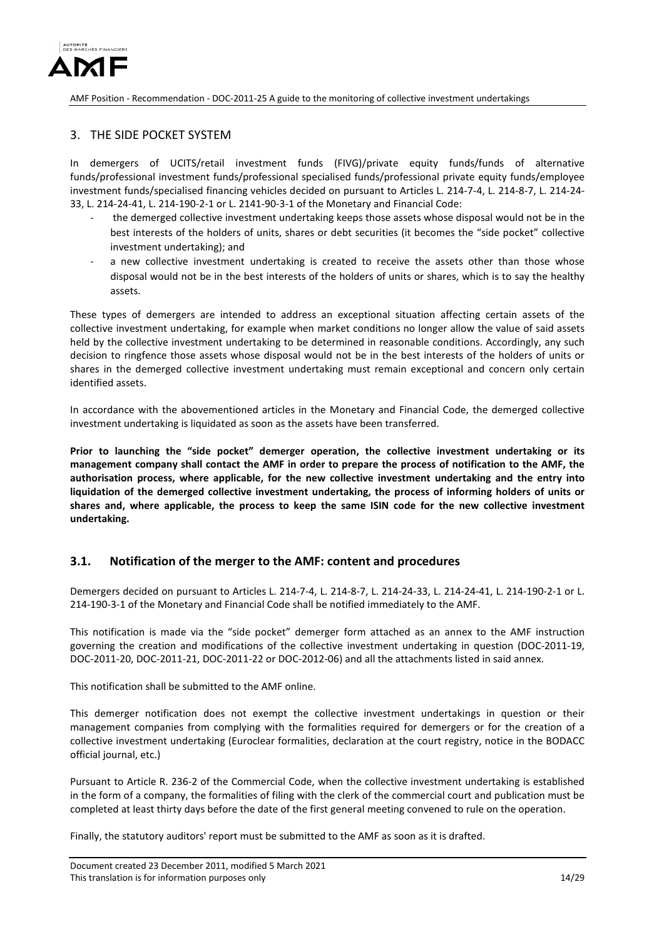

## <span id="page-13-0"></span>3. THE SIDE POCKET SYSTEM

In demergers of UCITS/retail investment funds (FIVG)/private equity funds/funds of alternative funds/professional investment funds/professional specialised funds/professional private equity funds/employee investment funds/specialised financing vehicles decided on pursuant to Articles L. 214-7-4, L. 214-8-7, L. 214-24- 33, L. 214-24-41, L. 214-190-2-1 or L. 2141-90-3-1 of the Monetary and Financial Code:

- the demerged collective investment undertaking keeps those assets whose disposal would not be in the best interests of the holders of units, shares or debt securities (it becomes the "side pocket" collective investment undertaking); and
- a new collective investment undertaking is created to receive the assets other than those whose disposal would not be in the best interests of the holders of units or shares, which is to say the healthy assets.

These types of demergers are intended to address an exceptional situation affecting certain assets of the collective investment undertaking, for example when market conditions no longer allow the value of said assets held by the collective investment undertaking to be determined in reasonable conditions. Accordingly, any such decision to ringfence those assets whose disposal would not be in the best interests of the holders of units or shares in the demerged collective investment undertaking must remain exceptional and concern only certain identified assets.

In accordance with the abovementioned articles in the Monetary and Financial Code, the demerged collective investment undertaking is liquidated as soon as the assets have been transferred.

**Prior to launching the "side pocket" demerger operation, the collective investment undertaking or its management company shall contact the AMF in order to prepare the process of notification to the AMF, the authorisation process, where applicable, for the new collective investment undertaking and the entry into liquidation of the demerged collective investment undertaking, the process of informing holders of units or shares and, where applicable, the process to keep the same ISIN code for the new collective investment undertaking.** 

## <span id="page-13-1"></span>**3.1. Notification of the merger to the AMF: content and procedures**

Demergers decided on pursuant to Articles L. 214-7-4, L. 214-8-7, L. 214-24-33, L. 214-24-41, L. 214-190-2-1 or L. 214-190-3-1 of the Monetary and Financial Code shall be notified immediately to the AMF.

This notification is made via the "side pocket" demerger form attached as an annex to the AMF instruction governing the creation and modifications of the collective investment undertaking in question (DOC-2011-19, DOC-2011-20, DOC-2011-21, DOC-2011-22 or DOC-2012-06) and all the attachments listed in said annex.

This notification shall be submitted to the AMF online.

This demerger notification does not exempt the collective investment undertakings in question or their management companies from complying with the formalities required for demergers or for the creation of a collective investment undertaking (Euroclear formalities, declaration at the court registry, notice in the BODACC official journal, etc.)

Pursuant to Article R. 236-2 of the Commercial Code, when the collective investment undertaking is established in the form of a company, the formalities of filing with the clerk of the commercial court and publication must be completed at least thirty days before the date of the first general meeting convened to rule on the operation.

Finally, the statutory auditors' report must be submitted to the AMF as soon as it is drafted.

Document created 23 December 2011, modified 5 March 2021 This translation is for information purposes only 14/29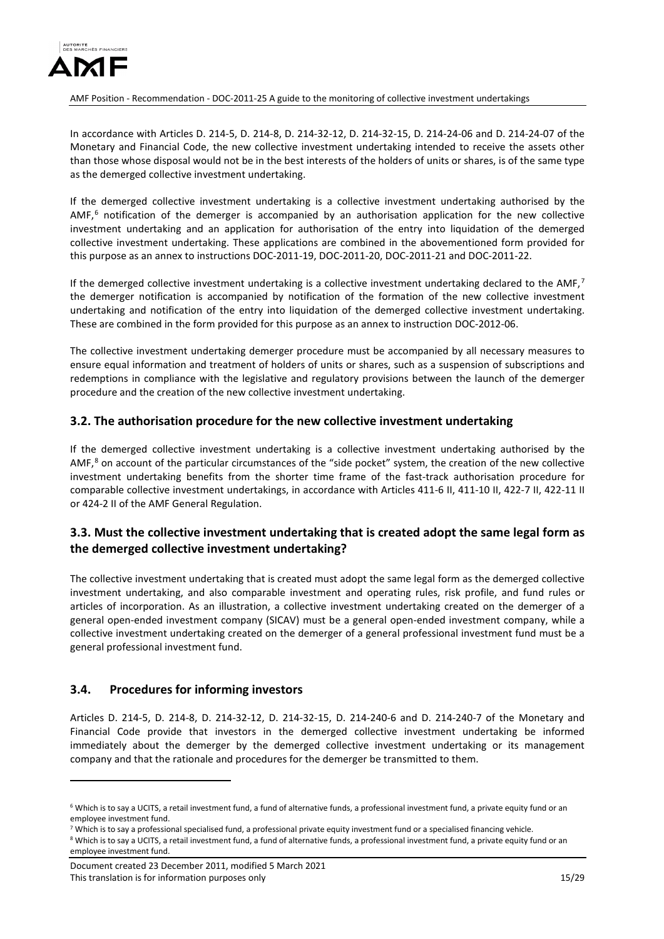

In accordance with Articles D. 214-5, D. 214-8, D. 214-32-12, D. 214-32-15, D. 214-24-06 and D. 214-24-07 of the Monetary and Financial Code, the new collective investment undertaking intended to receive the assets other than those whose disposal would not be in the best interests of the holders of units or shares, is of the same type as the demerged collective investment undertaking.

If the demerged collective investment undertaking is a collective investment undertaking authorised by the  $AMF<sub>0</sub>$ <sup>[6](#page-14-3)</sup> notification of the demerger is accompanied by an authorisation application for the new collective investment undertaking and an application for authorisation of the entry into liquidation of the demerged collective investment undertaking. These applications are combined in the abovementioned form provided for this purpose as an annex to instructions DOC-2011-19, DOC-2011-20, DOC-2011-21 and DOC-2011-22.

If the demerged collective investment undertaking is a collective investment undertaking declared to the  $AMF$ ,<sup>[7](#page-14-4)</sup> the demerger notification is accompanied by notification of the formation of the new collective investment undertaking and notification of the entry into liquidation of the demerged collective investment undertaking. These are combined in the form provided for this purpose as an annex to instruction DOC-2012-06.

The collective investment undertaking demerger procedure must be accompanied by all necessary measures to ensure equal information and treatment of holders of units or shares, such as a suspension of subscriptions and redemptions in compliance with the legislative and regulatory provisions between the launch of the demerger procedure and the creation of the new collective investment undertaking.

## <span id="page-14-0"></span>**3.2. The authorisation procedure for the new collective investment undertaking**

If the demerged collective investment undertaking is a collective investment undertaking authorised by the AMF, $^8$  $^8$  on account of the particular circumstances of the "side pocket" system, the creation of the new collective investment undertaking benefits from the shorter time frame of the fast-track authorisation procedure for comparable collective investment undertakings, in accordance with Articles 411-6 II, 411-10 II, 422-7 II, 422-11 II or 424-2 II of the AMF General Regulation.

## <span id="page-14-1"></span>**3.3. Must the collective investment undertaking that is created adopt the same legal form as the demerged collective investment undertaking?**

The collective investment undertaking that is created must adopt the same legal form as the demerged collective investment undertaking, and also comparable investment and operating rules, risk profile, and fund rules or articles of incorporation. As an illustration, a collective investment undertaking created on the demerger of a general open-ended investment company (SICAV) must be a general open-ended investment company, while a collective investment undertaking created on the demerger of a general professional investment fund must be a general professional investment fund.

### <span id="page-14-2"></span>**3.4. Procedures for informing investors**

<u>.</u>

Articles D. 214-5, D. 214-8, D. 214-32-12, D. 214-32-15, D. 214-240-6 and D. 214-240-7 of the Monetary and Financial Code provide that investors in the demerged collective investment undertaking be informed immediately about the demerger by the demerged collective investment undertaking or its management company and that the rationale and procedures for the demerger be transmitted to them.

<span id="page-14-3"></span> $6$  Which is to say a UCITS, a retail investment fund, a fund of alternative funds, a professional investment fund, a private equity fund or an employee investment fund.

<span id="page-14-4"></span><sup>&</sup>lt;sup>7</sup> Which is to say a professional specialised fund, a professional private equity investment fund or a specialised financing vehicle.

<span id="page-14-5"></span><sup>&</sup>lt;sup>8</sup> Which is to say a UCITS, a retail investment fund, a fund of alternative funds, a professional investment fund, a private equity fund or an employee investment fund.

Document created 23 December 2011, modified 5 March 2021 This translation is for information purposes only 15/29 and 15/29 and 15/29 and 15/29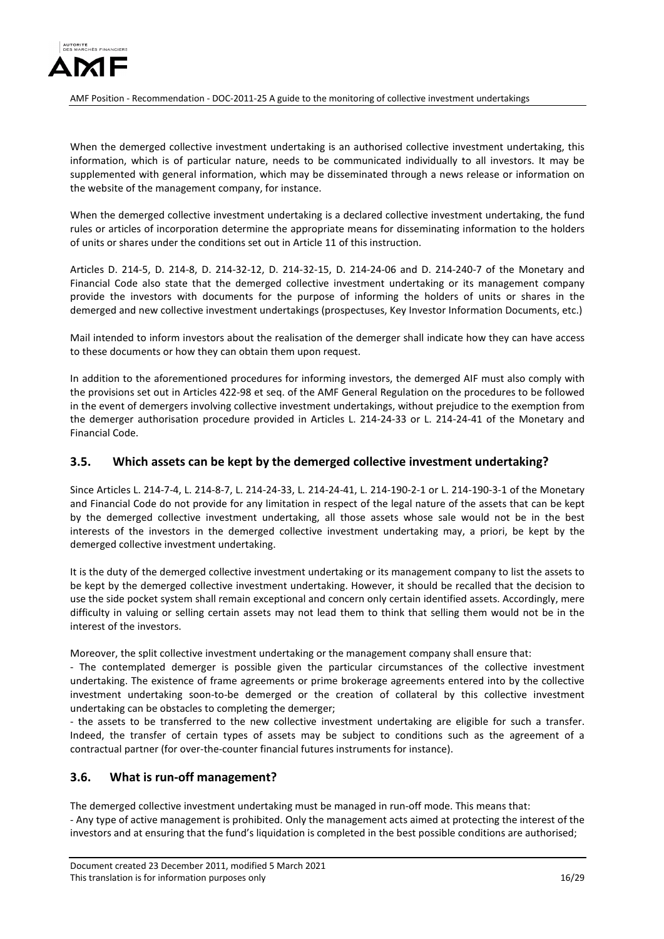

When the demerged collective investment undertaking is an authorised collective investment undertaking, this information, which is of particular nature, needs to be communicated individually to all investors. It may be supplemented with general information, which may be disseminated through a news release or information on the website of the management company, for instance.

When the demerged collective investment undertaking is a declared collective investment undertaking, the fund rules or articles of incorporation determine the appropriate means for disseminating information to the holders of units or shares under the conditions set out in Article 11 of this instruction.

Articles D. 214-5, D. 214-8, D. 214-32-12, D. 214-32-15, D. 214-24-06 and D. 214-240-7 of the Monetary and Financial Code also state that the demerged collective investment undertaking or its management company provide the investors with documents for the purpose of informing the holders of units or shares in the demerged and new collective investment undertakings (prospectuses, Key Investor Information Documents, etc.)

Mail intended to inform investors about the realisation of the demerger shall indicate how they can have access to these documents or how they can obtain them upon request.

In addition to the aforementioned procedures for informing investors, the demerged AIF must also comply with the provisions set out in Articles 422-98 et seq. of the AMF General Regulation on the procedures to be followed in the event of demergers involving collective investment undertakings, without prejudice to the exemption from the demerger authorisation procedure provided in Articles L. 214-24-33 or L. 214-24-41 of the Monetary and Financial Code.

### <span id="page-15-0"></span>**3.5. Which assets can be kept by the demerged collective investment undertaking?**

Since Articles L. 214-7-4, L. 214-8-7, L. 214-24-33, L. 214-24-41, L. 214-190-2-1 or L. 214-190-3-1 of the Monetary and Financial Code do not provide for any limitation in respect of the legal nature of the assets that can be kept by the demerged collective investment undertaking, all those assets whose sale would not be in the best interests of the investors in the demerged collective investment undertaking may, a priori, be kept by the demerged collective investment undertaking.

It is the duty of the demerged collective investment undertaking or its management company to list the assets to be kept by the demerged collective investment undertaking. However, it should be recalled that the decision to use the side pocket system shall remain exceptional and concern only certain identified assets. Accordingly, mere difficulty in valuing or selling certain assets may not lead them to think that selling them would not be in the interest of the investors.

Moreover, the split collective investment undertaking or the management company shall ensure that:

- The contemplated demerger is possible given the particular circumstances of the collective investment undertaking. The existence of frame agreements or prime brokerage agreements entered into by the collective investment undertaking soon-to-be demerged or the creation of collateral by this collective investment undertaking can be obstacles to completing the demerger;

- the assets to be transferred to the new collective investment undertaking are eligible for such a transfer. Indeed, the transfer of certain types of assets may be subject to conditions such as the agreement of a contractual partner (for over-the-counter financial futures instruments for instance).

## <span id="page-15-1"></span>**3.6. What is run-off management?**

The demerged collective investment undertaking must be managed in run-off mode. This means that: - Any type of active management is prohibited. Only the management acts aimed at protecting the interest of the investors and at ensuring that the fund's liquidation is completed in the best possible conditions are authorised;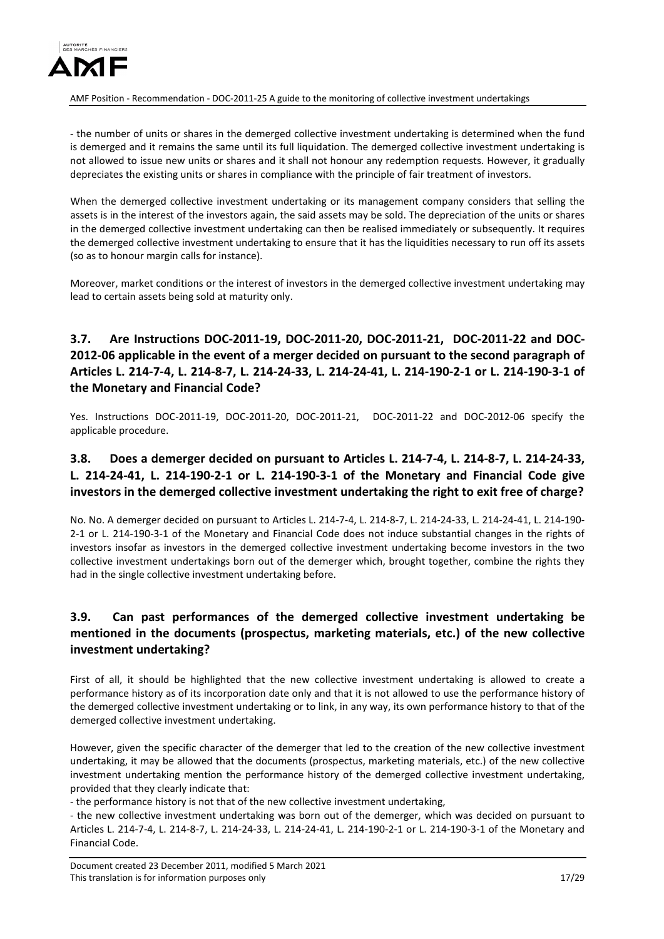

- the number of units or shares in the demerged collective investment undertaking is determined when the fund is demerged and it remains the same until its full liquidation. The demerged collective investment undertaking is not allowed to issue new units or shares and it shall not honour any redemption requests. However, it gradually depreciates the existing units or shares in compliance with the principle of fair treatment of investors.

When the demerged collective investment undertaking or its management company considers that selling the assets is in the interest of the investors again, the said assets may be sold. The depreciation of the units or shares in the demerged collective investment undertaking can then be realised immediately or subsequently. It requires the demerged collective investment undertaking to ensure that it has the liquidities necessary to run off its assets (so as to honour margin calls for instance).

Moreover, market conditions or the interest of investors in the demerged collective investment undertaking may lead to certain assets being sold at maturity only.

# <span id="page-16-0"></span>**3.7. Are Instructions DOC-2011-19, DOC-2011-20, DOC-2011-21, DOC-2011-22 and DOC-2012-06 applicable in the event of a merger decided on pursuant to the second paragraph of Articles L. 214-7-4, L. 214-8-7, L. 214-24-33, L. 214-24-41, L. 214-190-2-1 or L. 214-190-3-1 of the Monetary and Financial Code?**

Yes. Instructions DOC-2011-19, DOC-2011-20, DOC-2011-21, DOC-2011-22 and DOC-2012-06 specify the applicable procedure.

# <span id="page-16-1"></span>**3.8. Does a demerger decided on pursuant to Articles L. 214-7-4, L. 214-8-7, L. 214-24-33, L. 214-24-41, L. 214-190-2-1 or L. 214-190-3-1 of the Monetary and Financial Code give investors in the demerged collective investment undertaking the right to exit free of charge?**

No. No. A demerger decided on pursuant to Articles L. 214-7-4, L. 214-8-7, L. 214-24-33, L. 214-24-41, L. 214-190- 2-1 or L. 214-190-3-1 of the Monetary and Financial Code does not induce substantial changes in the rights of investors insofar as investors in the demerged collective investment undertaking become investors in the two collective investment undertakings born out of the demerger which, brought together, combine the rights they had in the single collective investment undertaking before.

# <span id="page-16-2"></span>**3.9. Can past performances of the demerged collective investment undertaking be mentioned in the documents (prospectus, marketing materials, etc.) of the new collective investment undertaking?**

First of all, it should be highlighted that the new collective investment undertaking is allowed to create a performance history as of its incorporation date only and that it is not allowed to use the performance history of the demerged collective investment undertaking or to link, in any way, its own performance history to that of the demerged collective investment undertaking.

However, given the specific character of the demerger that led to the creation of the new collective investment undertaking, it may be allowed that the documents (prospectus, marketing materials, etc.) of the new collective investment undertaking mention the performance history of the demerged collective investment undertaking, provided that they clearly indicate that:

- the performance history is not that of the new collective investment undertaking,

- the new collective investment undertaking was born out of the demerger, which was decided on pursuant to Articles L. 214-7-4, L. 214-8-7, L. 214-24-33, L. 214-24-41, L. 214-190-2-1 or L. 214-190-3-1 of the Monetary and Financial Code.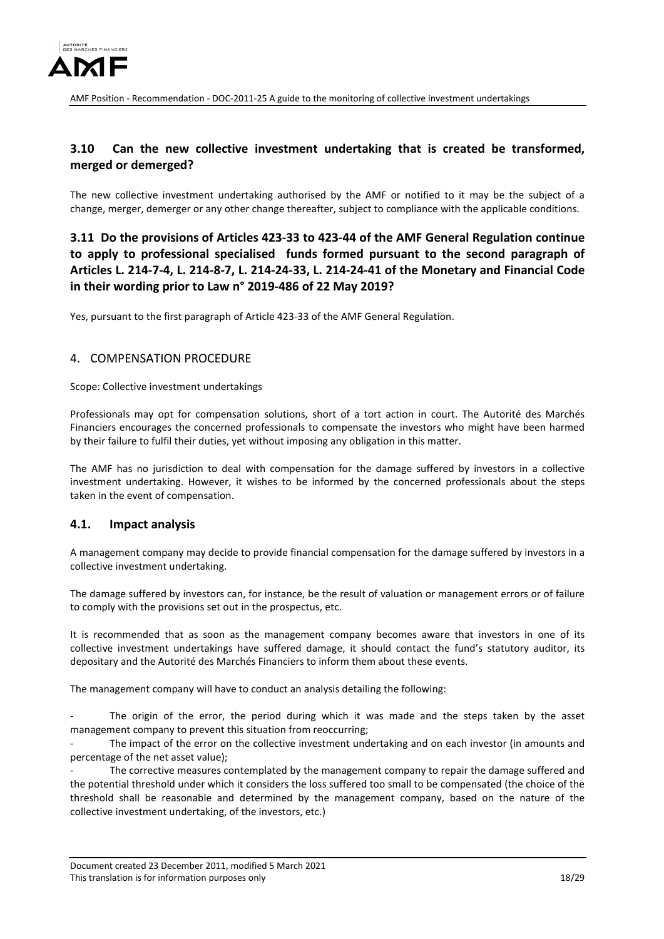

# <span id="page-17-0"></span>**3.10 Can the new collective investment undertaking that is created be transformed, merged or demerged?**

The new collective investment undertaking authorised by the AMF or notified to it may be the subject of a change, merger, demerger or any other change thereafter, subject to compliance with the applicable conditions.

<span id="page-17-1"></span>**3.11 Do the provisions of Articles 423-33 to 423-44 of the AMF General Regulation continue to apply to professional specialised funds formed pursuant to the second paragraph of Articles L. 214-7-4, L. 214-8-7, L. 214-24-33, L. 214-24-41 of the Monetary and Financial Code in their wording prior to Law n° 2019-486 of 22 May 2019?**

Yes, pursuant to the first paragraph of Article 423-33 of the AMF General Regulation.

### <span id="page-17-2"></span>4. COMPENSATION PROCEDURE

Scope: Collective investment undertakings

Professionals may opt for compensation solutions, short of a tort action in court. The Autorité des Marchés Financiers encourages the concerned professionals to compensate the investors who might have been harmed by their failure to fulfil their duties, yet without imposing any obligation in this matter.

The AMF has no jurisdiction to deal with compensation for the damage suffered by investors in a collective investment undertaking. However, it wishes to be informed by the concerned professionals about the steps taken in the event of compensation.

### <span id="page-17-3"></span>**4.1. Impact analysis**

A management company may decide to provide financial compensation for the damage suffered by investors in a collective investment undertaking.

The damage suffered by investors can, for instance, be the result of valuation or management errors or of failure to comply with the provisions set out in the prospectus, etc.

It is recommended that as soon as the management company becomes aware that investors in one of its collective investment undertakings have suffered damage, it should contact the fund's statutory auditor, its depositary and the Autorité des Marchés Financiers to inform them about these events.

The management company will have to conduct an analysis detailing the following:

The origin of the error, the period during which it was made and the steps taken by the asset management company to prevent this situation from reoccurring;

The impact of the error on the collective investment undertaking and on each investor (in amounts and percentage of the net asset value);

The corrective measures contemplated by the management company to repair the damage suffered and the potential threshold under which it considers the loss suffered too small to be compensated (the choice of the threshold shall be reasonable and determined by the management company, based on the nature of the collective investment undertaking, of the investors, etc.)

Document created 23 December 2011, modified 5 March 2021 This translation is for information purposes only 18/29 and 18/29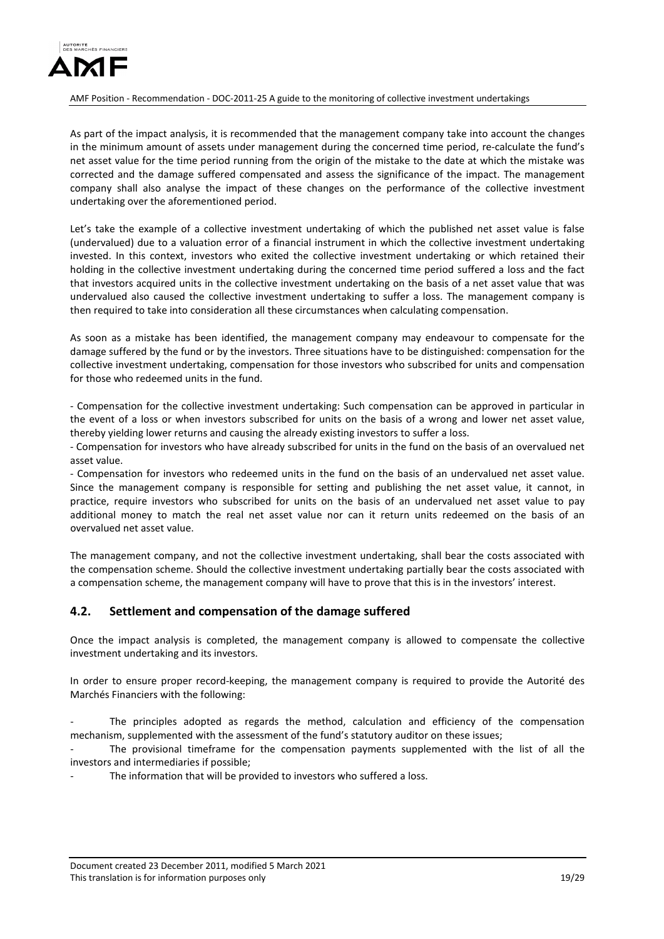

As part of the impact analysis, it is recommended that the management company take into account the changes in the minimum amount of assets under management during the concerned time period, re-calculate the fund's net asset value for the time period running from the origin of the mistake to the date at which the mistake was corrected and the damage suffered compensated and assess the significance of the impact. The management company shall also analyse the impact of these changes on the performance of the collective investment undertaking over the aforementioned period.

Let's take the example of a collective investment undertaking of which the published net asset value is false (undervalued) due to a valuation error of a financial instrument in which the collective investment undertaking invested. In this context, investors who exited the collective investment undertaking or which retained their holding in the collective investment undertaking during the concerned time period suffered a loss and the fact that investors acquired units in the collective investment undertaking on the basis of a net asset value that was undervalued also caused the collective investment undertaking to suffer a loss. The management company is then required to take into consideration all these circumstances when calculating compensation.

As soon as a mistake has been identified, the management company may endeavour to compensate for the damage suffered by the fund or by the investors. Three situations have to be distinguished: compensation for the collective investment undertaking, compensation for those investors who subscribed for units and compensation for those who redeemed units in the fund.

- Compensation for the collective investment undertaking: Such compensation can be approved in particular in the event of a loss or when investors subscribed for units on the basis of a wrong and lower net asset value, thereby yielding lower returns and causing the already existing investors to suffer a loss.

- Compensation for investors who have already subscribed for units in the fund on the basis of an overvalued net asset value.

- Compensation for investors who redeemed units in the fund on the basis of an undervalued net asset value. Since the management company is responsible for setting and publishing the net asset value, it cannot, in practice, require investors who subscribed for units on the basis of an undervalued net asset value to pay additional money to match the real net asset value nor can it return units redeemed on the basis of an overvalued net asset value.

The management company, and not the collective investment undertaking, shall bear the costs associated with the compensation scheme. Should the collective investment undertaking partially bear the costs associated with a compensation scheme, the management company will have to prove that this is in the investors' interest.

## <span id="page-18-0"></span>**4.2. Settlement and compensation of the damage suffered**

Once the impact analysis is completed, the management company is allowed to compensate the collective investment undertaking and its investors.

In order to ensure proper record-keeping, the management company is required to provide the Autorité des Marchés Financiers with the following:

The principles adopted as regards the method, calculation and efficiency of the compensation mechanism, supplemented with the assessment of the fund's statutory auditor on these issues;

The provisional timeframe for the compensation payments supplemented with the list of all the investors and intermediaries if possible;

The information that will be provided to investors who suffered a loss.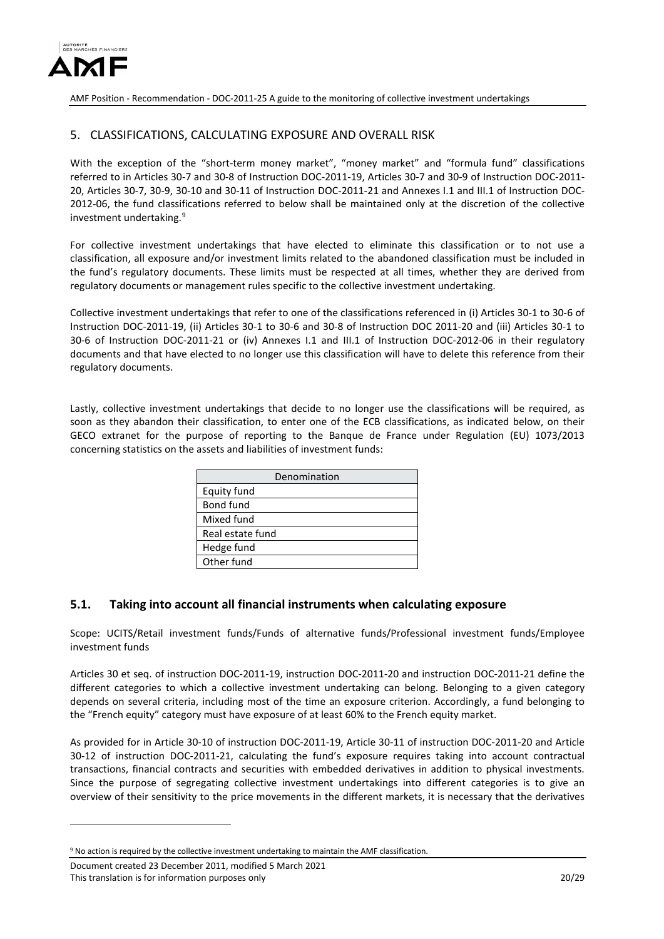

## <span id="page-19-0"></span>5. CLASSIFICATIONS, CALCULATING EXPOSURE AND OVERALL RISK

With the exception of the "short-term money market", "money market" and "formula fund" classifications referred to in Articles 30-7 and 30-8 of Instruction DOC-2011-19, Articles 30-7 and 30-9 of Instruction DOC-2011- 20, Articles 30-7, 30-9, 30-10 and 30-11 of Instruction DOC-2011-21 and Annexes I.1 and III.1 of Instruction DOC-2012-06, the fund classifications referred to below shall be maintained only at the discretion of the collective investment undertaking.<sup>[9](#page-19-2)</sup>

For collective investment undertakings that have elected to eliminate this classification or to not use a classification, all exposure and/or investment limits related to the abandoned classification must be included in the fund's regulatory documents. These limits must be respected at all times, whether they are derived from regulatory documents or management rules specific to the collective investment undertaking.

Collective investment undertakings that refer to one of the classifications referenced in (i) Articles 30-1 to 30-6 of Instruction DOC-2011-19, (ii) Articles 30-1 to 30-6 and 30-8 of Instruction DOC 2011-20 and (iii) Articles 30-1 to 30-6 of Instruction DOC-2011-21 or (iv) Annexes I.1 and III.1 of Instruction DOC-2012-06 in their regulatory documents and that have elected to no longer use this classification will have to delete this reference from their regulatory documents.

Lastly, collective investment undertakings that decide to no longer use the classifications will be required, as soon as they abandon their classification, to enter one of the ECB classifications, as indicated below, on their GECO extranet for the purpose of reporting to the Banque de France under Regulation (EU) 1073/2013 concerning statistics on the assets and liabilities of investment funds:

| Denomination     |  |
|------------------|--|
| Equity fund      |  |
| Bond fund        |  |
| Mixed fund       |  |
| Real estate fund |  |
| Hedge fund       |  |
| Other fund       |  |

## <span id="page-19-1"></span>**5.1. Taking into account all financial instruments when calculating exposure**

Scope: UCITS/Retail investment funds/Funds of alternative funds/Professional investment funds/Employee investment funds

Articles 30 et seq. of instruction DOC-2011-19, instruction DOC-2011-20 and instruction DOC-2011-21 define the different categories to which a collective investment undertaking can belong. Belonging to a given category depends on several criteria, including most of the time an exposure criterion. Accordingly, a fund belonging to the "French equity" category must have exposure of at least 60% to the French equity market.

As provided for in Article 30-10 of instruction DOC-2011-19, Article 30-11 of instruction DOC-2011-20 and Article 30-12 of instruction DOC-2011-21, calculating the fund's exposure requires taking into account contractual transactions, financial contracts and securities with embedded derivatives in addition to physical investments. Since the purpose of segregating collective investment undertakings into different categories is to give an overview of their sensitivity to the price movements in the different markets, it is necessary that the derivatives

-

<span id="page-19-2"></span><sup>9</sup> No action is required by the collective investment undertaking to maintain the AMF classification.

Document created 23 December 2011, modified 5 March 2021 This translation is for information purposes only 20/29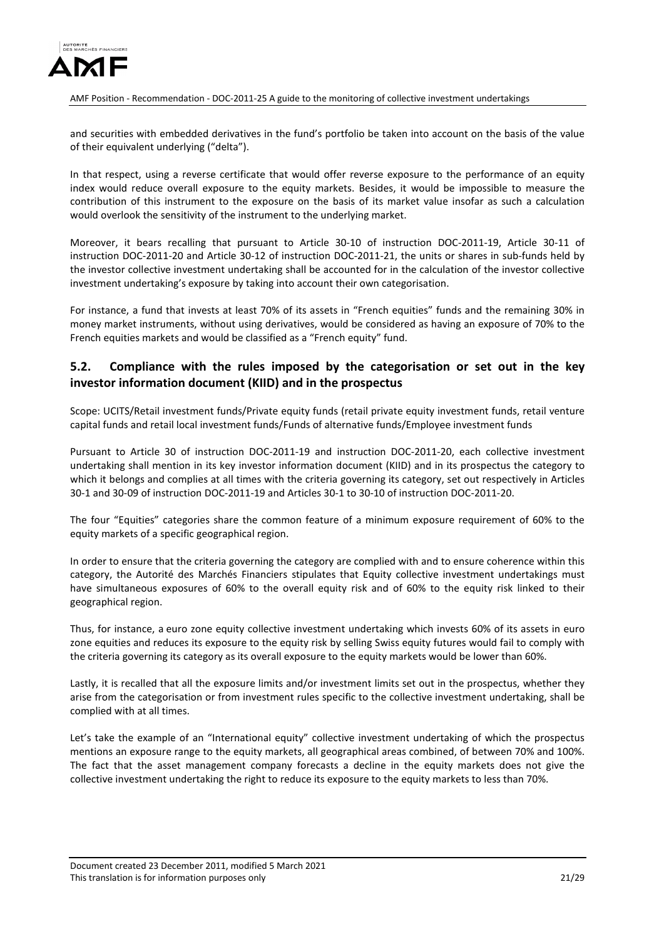

and securities with embedded derivatives in the fund's portfolio be taken into account on the basis of the value of their equivalent underlying ("delta").

In that respect, using a reverse certificate that would offer reverse exposure to the performance of an equity index would reduce overall exposure to the equity markets. Besides, it would be impossible to measure the contribution of this instrument to the exposure on the basis of its market value insofar as such a calculation would overlook the sensitivity of the instrument to the underlying market.

Moreover, it bears recalling that pursuant to Article 30-10 of instruction DOC-2011-19, Article 30-11 of instruction DOC-2011-20 and Article 30-12 of instruction DOC-2011-21, the units or shares in sub-funds held by the investor collective investment undertaking shall be accounted for in the calculation of the investor collective investment undertaking's exposure by taking into account their own categorisation.

For instance, a fund that invests at least 70% of its assets in "French equities" funds and the remaining 30% in money market instruments, without using derivatives, would be considered as having an exposure of 70% to the French equities markets and would be classified as a "French equity" fund.

## <span id="page-20-0"></span>**5.2. Compliance with the rules imposed by the categorisation or set out in the key investor information document (KIID) and in the prospectus**

Scope: UCITS/Retail investment funds/Private equity funds (retail private equity investment funds, retail venture capital funds and retail local investment funds/Funds of alternative funds/Employee investment funds

Pursuant to Article 30 of instruction DOC-2011-19 and instruction DOC-2011-20, each collective investment undertaking shall mention in its key investor information document (KIID) and in its prospectus the category to which it belongs and complies at all times with the criteria governing its category, set out respectively in Articles 30-1 and 30-09 of instruction DOC-2011-19 and Articles 30-1 to 30-10 of instruction DOC-2011-20.

The four "Equities" categories share the common feature of a minimum exposure requirement of 60% to the equity markets of a specific geographical region.

In order to ensure that the criteria governing the category are complied with and to ensure coherence within this category, the Autorité des Marchés Financiers stipulates that Equity collective investment undertakings must have simultaneous exposures of 60% to the overall equity risk and of 60% to the equity risk linked to their geographical region.

Thus, for instance, a euro zone equity collective investment undertaking which invests 60% of its assets in euro zone equities and reduces its exposure to the equity risk by selling Swiss equity futures would fail to comply with the criteria governing its category as its overall exposure to the equity markets would be lower than 60%.

Lastly, it is recalled that all the exposure limits and/or investment limits set out in the prospectus, whether they arise from the categorisation or from investment rules specific to the collective investment undertaking, shall be complied with at all times.

Let's take the example of an "International equity" collective investment undertaking of which the prospectus mentions an exposure range to the equity markets, all geographical areas combined, of between 70% and 100%. The fact that the asset management company forecasts a decline in the equity markets does not give the collective investment undertaking the right to reduce its exposure to the equity markets to less than 70%.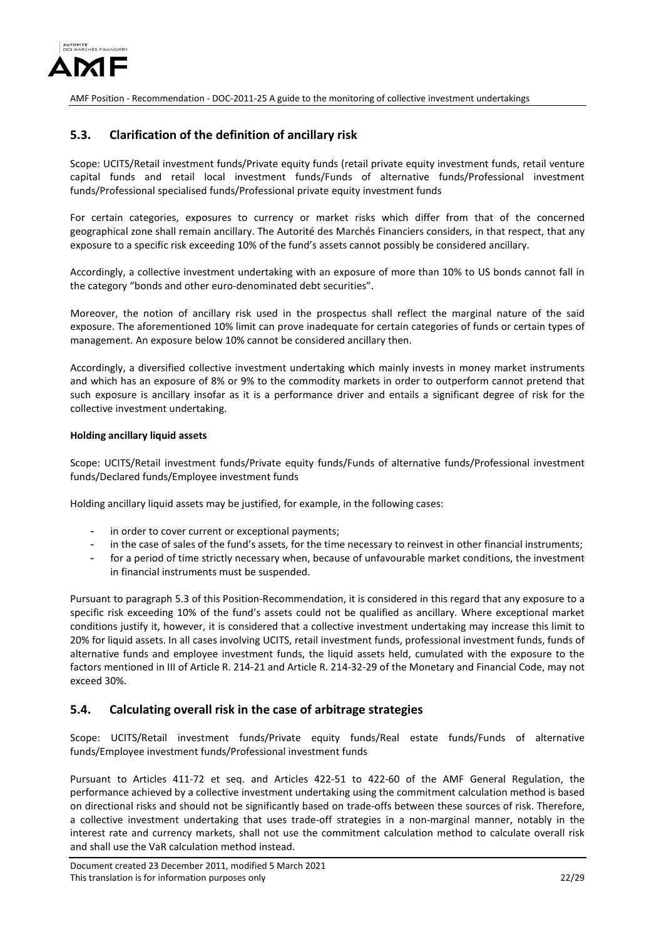

## <span id="page-21-0"></span>**5.3. Clarification of the definition of ancillary risk**

Scope: UCITS/Retail investment funds/Private equity funds (retail private equity investment funds, retail venture capital funds and retail local investment funds/Funds of alternative funds/Professional investment funds/Professional specialised funds/Professional private equity investment funds

For certain categories, exposures to currency or market risks which differ from that of the concerned geographical zone shall remain ancillary. The Autorité des Marchés Financiers considers, in that respect, that any exposure to a specific risk exceeding 10% of the fund's assets cannot possibly be considered ancillary.

Accordingly, a collective investment undertaking with an exposure of more than 10% to US bonds cannot fall in the category "bonds and other euro-denominated debt securities".

Moreover, the notion of ancillary risk used in the prospectus shall reflect the marginal nature of the said exposure. The aforementioned 10% limit can prove inadequate for certain categories of funds or certain types of management. An exposure below 10% cannot be considered ancillary then.

Accordingly, a diversified collective investment undertaking which mainly invests in money market instruments and which has an exposure of 8% or 9% to the commodity markets in order to outperform cannot pretend that such exposure is ancillary insofar as it is a performance driver and entails a significant degree of risk for the collective investment undertaking.

#### **Holding ancillary liquid assets**

Scope: UCITS/Retail investment funds/Private equity funds/Funds of alternative funds/Professional investment funds/Declared funds/Employee investment funds

Holding ancillary liquid assets may be justified, for example, in the following cases:

- in order to cover current or exceptional payments;
- in the case of sales of the fund's assets, for the time necessary to reinvest in other financial instruments;
- for a period of time strictly necessary when, because of unfavourable market conditions, the investment in financial instruments must be suspended.

Pursuant to paragraph 5.3 of this Position-Recommendation, it is considered in this regard that any exposure to a specific risk exceeding 10% of the fund's assets could not be qualified as ancillary. Where exceptional market conditions justify it, however, it is considered that a collective investment undertaking may increase this limit to 20% for liquid assets. In all cases involving UCITS, retail investment funds, professional investment funds, funds of alternative funds and employee investment funds, the liquid assets held, cumulated with the exposure to the factors mentioned in III of Article R. 214-21 and Article R. 214-32-29 of the Monetary and Financial Code, may not exceed 30%.

## <span id="page-21-1"></span>**5.4. Calculating overall risk in the case of arbitrage strategies**

Scope: UCITS/Retail investment funds/Private equity funds/Real estate funds/Funds of alternative funds/Employee investment funds/Professional investment funds

Pursuant to Articles 411-72 et seq. and Articles 422-51 to 422-60 of the AMF General Regulation, the performance achieved by a collective investment undertaking using the commitment calculation method is based on directional risks and should not be significantly based on trade-offs between these sources of risk. Therefore, a collective investment undertaking that uses trade-off strategies in a non-marginal manner, notably in the interest rate and currency markets, shall not use the commitment calculation method to calculate overall risk and shall use the VaR calculation method instead.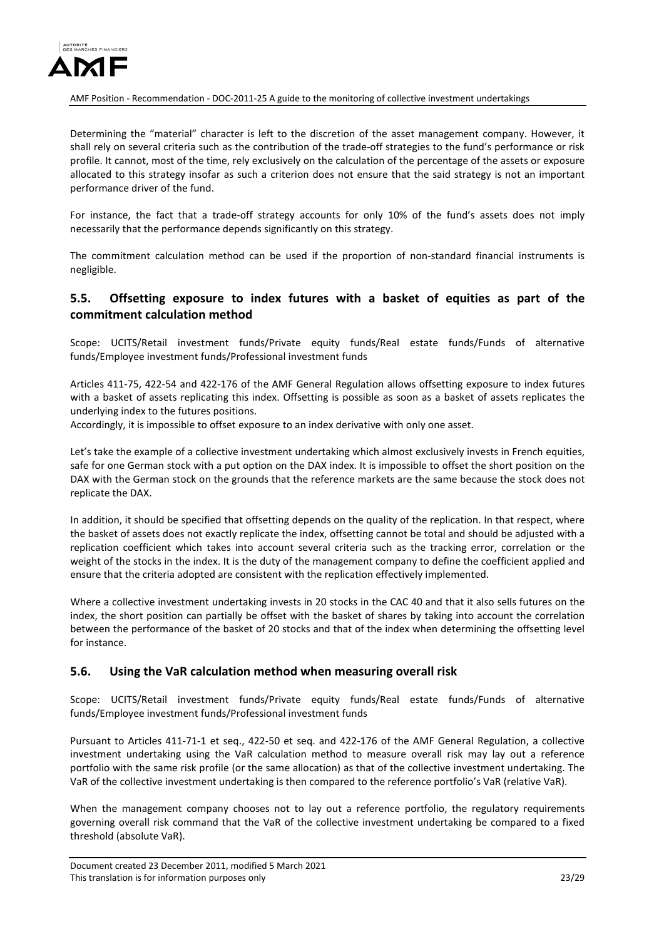

Determining the "material" character is left to the discretion of the asset management company. However, it shall rely on several criteria such as the contribution of the trade-off strategies to the fund's performance or risk profile. It cannot, most of the time, rely exclusively on the calculation of the percentage of the assets or exposure allocated to this strategy insofar as such a criterion does not ensure that the said strategy is not an important performance driver of the fund.

For instance, the fact that a trade-off strategy accounts for only 10% of the fund's assets does not imply necessarily that the performance depends significantly on this strategy.

The commitment calculation method can be used if the proportion of non-standard financial instruments is negligible.

## <span id="page-22-0"></span>**5.5. Offsetting exposure to index futures with a basket of equities as part of the commitment calculation method**

Scope: UCITS/Retail investment funds/Private equity funds/Real estate funds/Funds of alternative funds/Employee investment funds/Professional investment funds

Articles 411-75, 422-54 and 422-176 of the AMF General Regulation allows offsetting exposure to index futures with a basket of assets replicating this index. Offsetting is possible as soon as a basket of assets replicates the underlying index to the futures positions.

Accordingly, it is impossible to offset exposure to an index derivative with only one asset.

Let's take the example of a collective investment undertaking which almost exclusively invests in French equities, safe for one German stock with a put option on the DAX index. It is impossible to offset the short position on the DAX with the German stock on the grounds that the reference markets are the same because the stock does not replicate the DAX.

In addition, it should be specified that offsetting depends on the quality of the replication. In that respect, where the basket of assets does not exactly replicate the index, offsetting cannot be total and should be adjusted with a replication coefficient which takes into account several criteria such as the tracking error, correlation or the weight of the stocks in the index. It is the duty of the management company to define the coefficient applied and ensure that the criteria adopted are consistent with the replication effectively implemented.

Where a collective investment undertaking invests in 20 stocks in the CAC 40 and that it also sells futures on the index, the short position can partially be offset with the basket of shares by taking into account the correlation between the performance of the basket of 20 stocks and that of the index when determining the offsetting level for instance.

## <span id="page-22-1"></span>**5.6. Using the VaR calculation method when measuring overall risk**

Scope: UCITS/Retail investment funds/Private equity funds/Real estate funds/Funds of alternative funds/Employee investment funds/Professional investment funds

Pursuant to Articles 411-71-1 et seq., 422-50 et seq. and 422-176 of the AMF General Regulation, a collective investment undertaking using the VaR calculation method to measure overall risk may lay out a reference portfolio with the same risk profile (or the same allocation) as that of the collective investment undertaking. The VaR of the collective investment undertaking is then compared to the reference portfolio's VaR (relative VaR).

When the management company chooses not to lay out a reference portfolio, the regulatory requirements governing overall risk command that the VaR of the collective investment undertaking be compared to a fixed threshold (absolute VaR).

Document created 23 December 2011, modified 5 March 2021 This translation is for information purposes only 23/29 and 23/29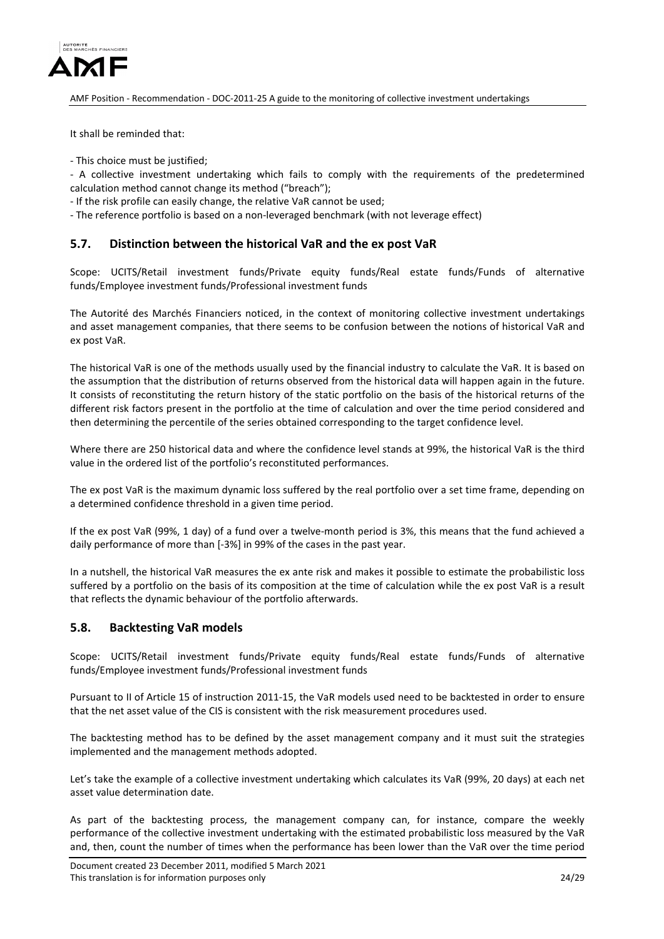

It shall be reminded that:

- This choice must be justified;

- A collective investment undertaking which fails to comply with the requirements of the predetermined calculation method cannot change its method ("breach");

- If the risk profile can easily change, the relative VaR cannot be used;

- The reference portfolio is based on a non-leveraged benchmark (with not leverage effect)

## <span id="page-23-0"></span>**5.7. Distinction between the historical VaR and the ex post VaR**

Scope: UCITS/Retail investment funds/Private equity funds/Real estate funds/Funds of alternative funds/Employee investment funds/Professional investment funds

The Autorité des Marchés Financiers noticed, in the context of monitoring collective investment undertakings and asset management companies, that there seems to be confusion between the notions of historical VaR and ex post VaR.

The historical VaR is one of the methods usually used by the financial industry to calculate the VaR. It is based on the assumption that the distribution of returns observed from the historical data will happen again in the future. It consists of reconstituting the return history of the static portfolio on the basis of the historical returns of the different risk factors present in the portfolio at the time of calculation and over the time period considered and then determining the percentile of the series obtained corresponding to the target confidence level.

Where there are 250 historical data and where the confidence level stands at 99%, the historical VaR is the third value in the ordered list of the portfolio's reconstituted performances.

The ex post VaR is the maximum dynamic loss suffered by the real portfolio over a set time frame, depending on a determined confidence threshold in a given time period.

If the ex post VaR (99%, 1 day) of a fund over a twelve-month period is 3%, this means that the fund achieved a daily performance of more than [-3%] in 99% of the cases in the past year.

In a nutshell, the historical VaR measures the ex ante risk and makes it possible to estimate the probabilistic loss suffered by a portfolio on the basis of its composition at the time of calculation while the ex post VaR is a result that reflects the dynamic behaviour of the portfolio afterwards.

### <span id="page-23-1"></span>**5.8. Backtesting VaR models**

Scope: UCITS/Retail investment funds/Private equity funds/Real estate funds/Funds of alternative funds/Employee investment funds/Professional investment funds

Pursuant to II of Article 15 of instruction 2011-15, the VaR models used need to be backtested in order to ensure that the net asset value of the CIS is consistent with the risk measurement procedures used.

The backtesting method has to be defined by the asset management company and it must suit the strategies implemented and the management methods adopted.

Let's take the example of a collective investment undertaking which calculates its VaR (99%, 20 days) at each net asset value determination date.

As part of the backtesting process, the management company can, for instance, compare the weekly performance of the collective investment undertaking with the estimated probabilistic loss measured by the VaR and, then, count the number of times when the performance has been lower than the VaR over the time period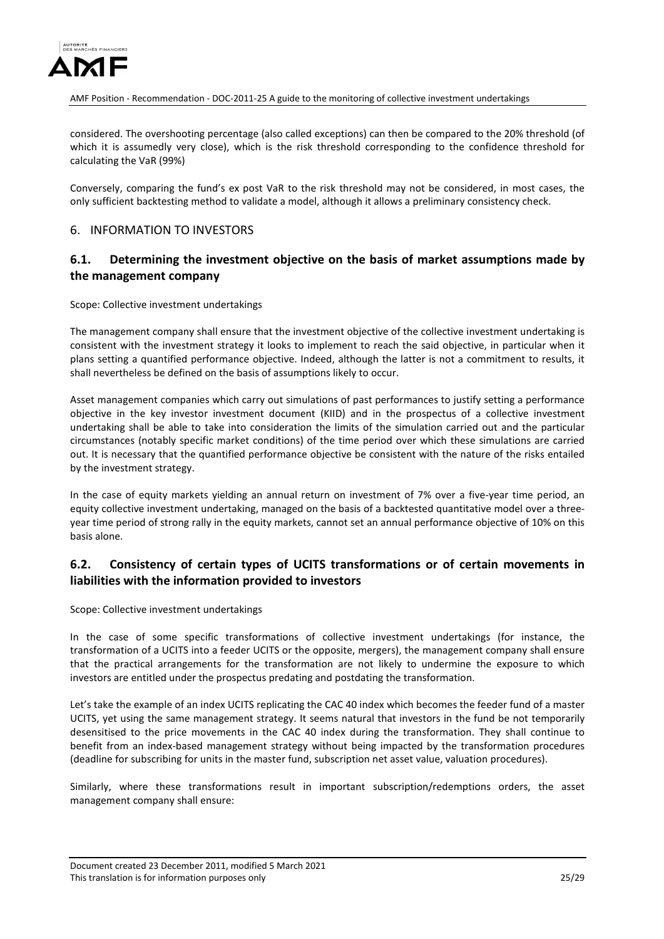

considered. The overshooting percentage (also called exceptions) can then be compared to the 20% threshold (of which it is assumedly very close), which is the risk threshold corresponding to the confidence threshold for calculating the VaR (99%)

Conversely, comparing the fund's ex post VaR to the risk threshold may not be considered, in most cases, the only sufficient backtesting method to validate a model, although it allows a preliminary consistency check.

## <span id="page-24-0"></span>6. INFORMATION TO INVESTORS

## <span id="page-24-1"></span>**6.1. Determining the investment objective on the basis of market assumptions made by the management company**

Scope: Collective investment undertakings

The management company shall ensure that the investment objective of the collective investment undertaking is consistent with the investment strategy it looks to implement to reach the said objective, in particular when it plans setting a quantified performance objective. Indeed, although the latter is not a commitment to results, it shall nevertheless be defined on the basis of assumptions likely to occur.

Asset management companies which carry out simulations of past performances to justify setting a performance objective in the key investor investment document (KIID) and in the prospectus of a collective investment undertaking shall be able to take into consideration the limits of the simulation carried out and the particular circumstances (notably specific market conditions) of the time period over which these simulations are carried out. It is necessary that the quantified performance objective be consistent with the nature of the risks entailed by the investment strategy.

In the case of equity markets yielding an annual return on investment of 7% over a five-year time period, an equity collective investment undertaking, managed on the basis of a backtested quantitative model over a threeyear time period of strong rally in the equity markets, cannot set an annual performance objective of 10% on this basis alone.

# <span id="page-24-2"></span>**6.2. Consistency of certain types of UCITS transformations or of certain movements in liabilities with the information provided to investors**

Scope: Collective investment undertakings

In the case of some specific transformations of collective investment undertakings (for instance, the transformation of a UCITS into a feeder UCITS or the opposite, mergers), the management company shall ensure that the practical arrangements for the transformation are not likely to undermine the exposure to which investors are entitled under the prospectus predating and postdating the transformation.

Let's take the example of an index UCITS replicating the CAC 40 index which becomes the feeder fund of a master UCITS, yet using the same management strategy. It seems natural that investors in the fund be not temporarily desensitised to the price movements in the CAC 40 index during the transformation. They shall continue to benefit from an index-based management strategy without being impacted by the transformation procedures (deadline for subscribing for units in the master fund, subscription net asset value, valuation procedures).

Similarly, where these transformations result in important subscription/redemptions orders, the asset management company shall ensure:

Document created 23 December 2011, modified 5 March 2021 This translation is for information purposes only 25/29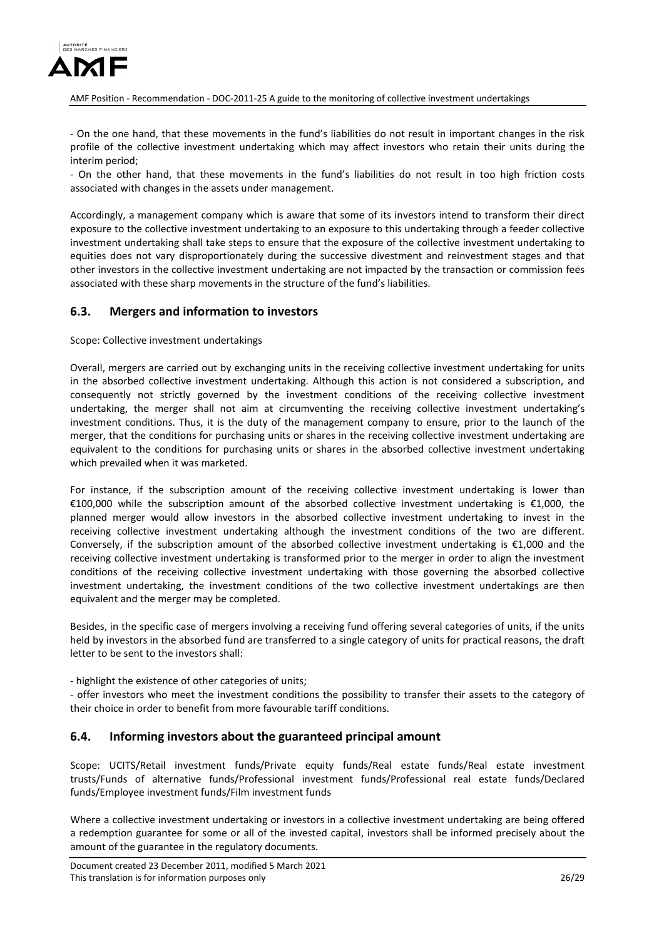

- On the one hand, that these movements in the fund's liabilities do not result in important changes in the risk profile of the collective investment undertaking which may affect investors who retain their units during the interim period;

- On the other hand, that these movements in the fund's liabilities do not result in too high friction costs associated with changes in the assets under management.

Accordingly, a management company which is aware that some of its investors intend to transform their direct exposure to the collective investment undertaking to an exposure to this undertaking through a feeder collective investment undertaking shall take steps to ensure that the exposure of the collective investment undertaking to equities does not vary disproportionately during the successive divestment and reinvestment stages and that other investors in the collective investment undertaking are not impacted by the transaction or commission fees associated with these sharp movements in the structure of the fund's liabilities.

## <span id="page-25-0"></span>**6.3. Mergers and information to investors**

Scope: Collective investment undertakings

Overall, mergers are carried out by exchanging units in the receiving collective investment undertaking for units in the absorbed collective investment undertaking. Although this action is not considered a subscription, and consequently not strictly governed by the investment conditions of the receiving collective investment undertaking, the merger shall not aim at circumventing the receiving collective investment undertaking's investment conditions. Thus, it is the duty of the management company to ensure, prior to the launch of the merger, that the conditions for purchasing units or shares in the receiving collective investment undertaking are equivalent to the conditions for purchasing units or shares in the absorbed collective investment undertaking which prevailed when it was marketed.

For instance, if the subscription amount of the receiving collective investment undertaking is lower than €100,000 while the subscription amount of the absorbed collective investment undertaking is €1,000, the planned merger would allow investors in the absorbed collective investment undertaking to invest in the receiving collective investment undertaking although the investment conditions of the two are different. Conversely, if the subscription amount of the absorbed collective investment undertaking is €1,000 and the receiving collective investment undertaking is transformed prior to the merger in order to align the investment conditions of the receiving collective investment undertaking with those governing the absorbed collective investment undertaking, the investment conditions of the two collective investment undertakings are then equivalent and the merger may be completed.

Besides, in the specific case of mergers involving a receiving fund offering several categories of units, if the units held by investors in the absorbed fund are transferred to a single category of units for practical reasons, the draft letter to be sent to the investors shall:

- highlight the existence of other categories of units;

- offer investors who meet the investment conditions the possibility to transfer their assets to the category of their choice in order to benefit from more favourable tariff conditions.

## <span id="page-25-1"></span>**6.4. Informing investors about the guaranteed principal amount**

Scope: UCITS/Retail investment funds/Private equity funds/Real estate funds/Real estate investment trusts/Funds of alternative funds/Professional investment funds/Professional real estate funds/Declared funds/Employee investment funds/Film investment funds

Where a collective investment undertaking or investors in a collective investment undertaking are being offered a redemption guarantee for some or all of the invested capital, investors shall be informed precisely about the amount of the guarantee in the regulatory documents.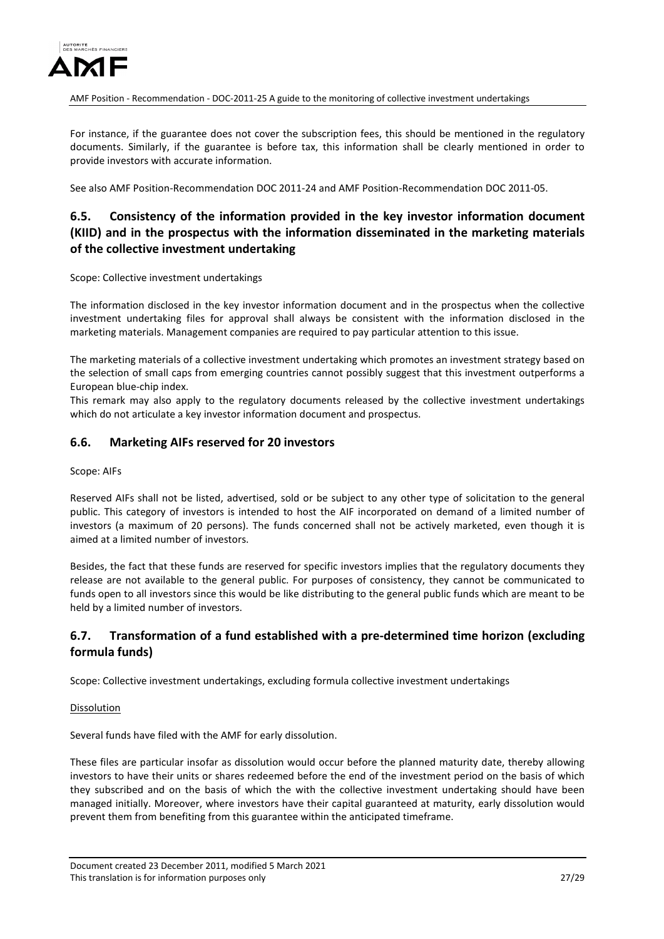

For instance, if the guarantee does not cover the subscription fees, this should be mentioned in the regulatory documents. Similarly, if the guarantee is before tax, this information shall be clearly mentioned in order to provide investors with accurate information.

See also AMF Position-Recommendation DOC 2011-24 and AMF Position-Recommendation DOC 2011-05.

# <span id="page-26-0"></span>**6.5. Consistency of the information provided in the key investor information document (KIID) and in the prospectus with the information disseminated in the marketing materials of the collective investment undertaking**

Scope: Collective investment undertakings

The information disclosed in the key investor information document and in the prospectus when the collective investment undertaking files for approval shall always be consistent with the information disclosed in the marketing materials. Management companies are required to pay particular attention to this issue.

The marketing materials of a collective investment undertaking which promotes an investment strategy based on the selection of small caps from emerging countries cannot possibly suggest that this investment outperforms a European blue-chip index.

This remark may also apply to the regulatory documents released by the collective investment undertakings which do not articulate a key investor information document and prospectus.

### <span id="page-26-1"></span>**6.6. Marketing AIFs reserved for 20 investors**

Scope: AIFs

Reserved AIFs shall not be listed, advertised, sold or be subject to any other type of solicitation to the general public. This category of investors is intended to host the AIF incorporated on demand of a limited number of investors (a maximum of 20 persons). The funds concerned shall not be actively marketed, even though it is aimed at a limited number of investors.

Besides, the fact that these funds are reserved for specific investors implies that the regulatory documents they release are not available to the general public. For purposes of consistency, they cannot be communicated to funds open to all investors since this would be like distributing to the general public funds which are meant to be held by a limited number of investors.

# <span id="page-26-2"></span>**6.7. Transformation of a fund established with a pre-determined time horizon (excluding formula funds)**

Scope: Collective investment undertakings, excluding formula collective investment undertakings

Dissolution

Several funds have filed with the AMF for early dissolution.

These files are particular insofar as dissolution would occur before the planned maturity date, thereby allowing investors to have their units or shares redeemed before the end of the investment period on the basis of which they subscribed and on the basis of which the with the collective investment undertaking should have been managed initially. Moreover, where investors have their capital guaranteed at maturity, early dissolution would prevent them from benefiting from this guarantee within the anticipated timeframe.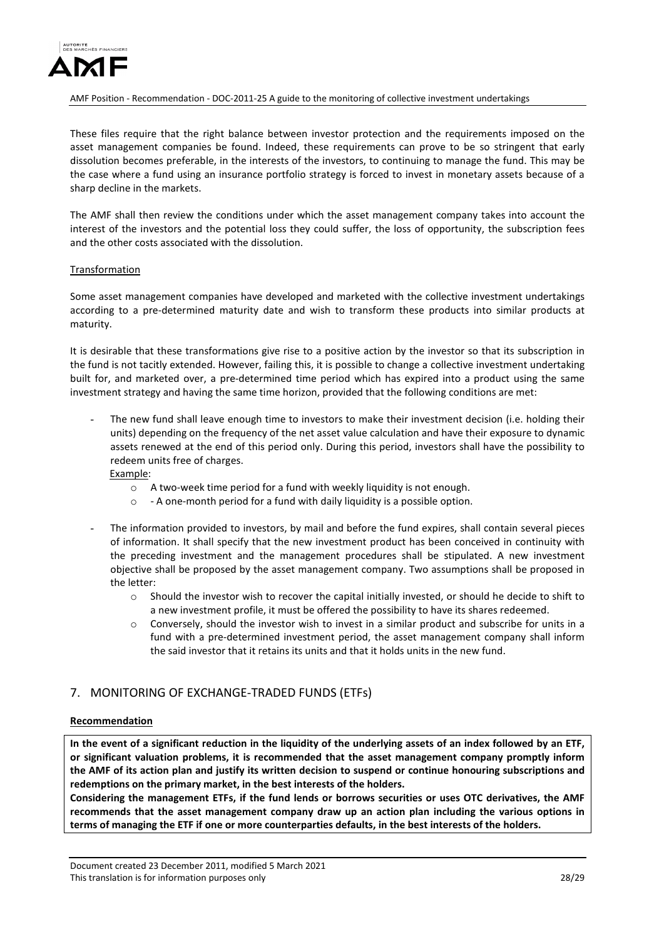

These files require that the right balance between investor protection and the requirements imposed on the asset management companies be found. Indeed, these requirements can prove to be so stringent that early dissolution becomes preferable, in the interests of the investors, to continuing to manage the fund. This may be the case where a fund using an insurance portfolio strategy is forced to invest in monetary assets because of a sharp decline in the markets.

The AMF shall then review the conditions under which the asset management company takes into account the interest of the investors and the potential loss they could suffer, the loss of opportunity, the subscription fees and the other costs associated with the dissolution.

#### Transformation

Some asset management companies have developed and marketed with the collective investment undertakings according to a pre-determined maturity date and wish to transform these products into similar products at maturity.

It is desirable that these transformations give rise to a positive action by the investor so that its subscription in the fund is not tacitly extended. However, failing this, it is possible to change a collective investment undertaking built for, and marketed over, a pre-determined time period which has expired into a product using the same investment strategy and having the same time horizon, provided that the following conditions are met:

The new fund shall leave enough time to investors to make their investment decision (i.e. holding their units) depending on the frequency of the net asset value calculation and have their exposure to dynamic assets renewed at the end of this period only. During this period, investors shall have the possibility to redeem units free of charges.

Example:

- o A two-week time period for a fund with weekly liquidity is not enough.
- o A one-month period for a fund with daily liquidity is a possible option.
- The information provided to investors, by mail and before the fund expires, shall contain several pieces of information. It shall specify that the new investment product has been conceived in continuity with the preceding investment and the management procedures shall be stipulated. A new investment objective shall be proposed by the asset management company. Two assumptions shall be proposed in the letter:
	- $\circ$  Should the investor wish to recover the capital initially invested, or should he decide to shift to a new investment profile, it must be offered the possibility to have its shares redeemed.
	- $\circ$  Conversely, should the investor wish to invest in a similar product and subscribe for units in a fund with a pre-determined investment period, the asset management company shall inform the said investor that it retains its units and that it holds units in the new fund.

# <span id="page-27-0"></span>7. MONITORING OF EXCHANGE-TRADED FUNDS (ETFs)

### **Recommendation**

**In the event of a significant reduction in the liquidity of the underlying assets of an index followed by an ETF, or significant valuation problems, it is recommended that the asset management company promptly inform the AMF of its action plan and justify its written decision to suspend or continue honouring subscriptions and redemptions on the primary market, in the best interests of the holders.**

**Considering the management ETFs, if the fund lends or borrows securities or uses OTC derivatives, the AMF recommends that the asset management company draw up an action plan including the various options in terms of managing the ETF if one or more counterparties defaults, in the best interests of the holders.**